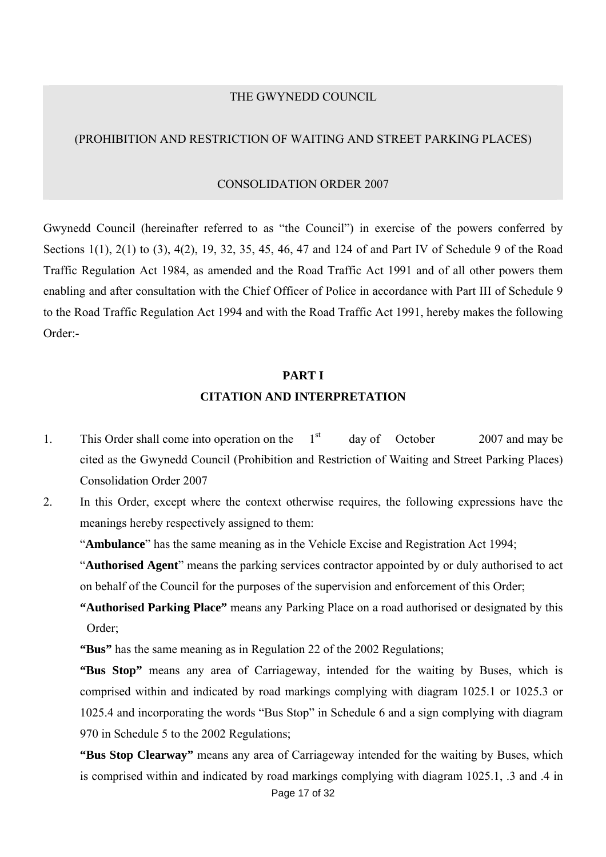#### THE GWYNEDD COUNCIL

#### (PROHIBITION AND RESTRICTION OF WAITING AND STREET PARKING PLACES)

#### CONSOLIDATION ORDER 2007

Gwynedd Council (hereinafter referred to as "the Council") in exercise of the powers conferred by Sections 1(1), 2(1) to (3), 4(2), 19, 32, 35, 45, 46, 47 and 124 of and Part IV of Schedule 9 of the Road Traffic Regulation Act 1984, as amended and the Road Traffic Act 1991 and of all other powers them enabling and after consultation with the Chief Officer of Police in accordance with Part III of Schedule 9 to the Road Traffic Regulation Act 1994 and with the Road Traffic Act 1991, hereby makes the following Order:-

## **PART I CITATION AND INTERPRETATION**

- 1. This Order shall come into operation on the  $1<sup>st</sup>$  day of October 2007 and may be cited as the Gwynedd Council (Prohibition and Restriction of Waiting and Street Parking Places) Consolidation Order 2007
- 2. In this Order, except where the context otherwise requires, the following expressions have the meanings hereby respectively assigned to them:

"**Ambulance**" has the same meaning as in the Vehicle Excise and Registration Act 1994;

"**Authorised Agent**" means the parking services contractor appointed by or duly authorised to act on behalf of the Council for the purposes of the supervision and enforcement of this Order;

**"Authorised Parking Place"** means any Parking Place on a road authorised or designated by this Order;

**"Bus"** has the same meaning as in Regulation 22 of the 2002 Regulations;

**"Bus Stop"** means any area of Carriageway, intended for the waiting by Buses, which is comprised within and indicated by road markings complying with diagram 1025.1 or 1025.3 or 1025.4 and incorporating the words "Bus Stop" in Schedule 6 and a sign complying with diagram 970 in Schedule 5 to the 2002 Regulations;

**"Bus Stop Clearway"** means any area of Carriageway intended for the waiting by Buses, which is comprised within and indicated by road markings complying with diagram 1025.1, .3 and .4 in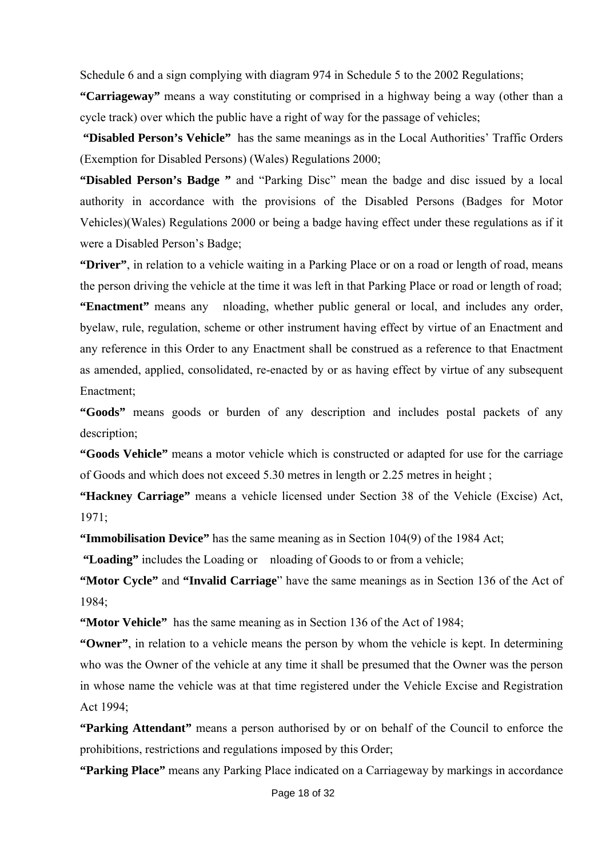Schedule 6 and a sign complying with diagram 974 in Schedule 5 to the 2002 Regulations;

**"Carriageway"** means a way constituting or comprised in a highway being a way (other than a cycle track) over which the public have a right of way for the passage of vehicles;

 **"Disabled Person's Vehicle"** has the same meanings as in the Local Authorities' Traffic Orders (Exemption for Disabled Persons) (Wales) Regulations 2000;

**"Disabled Person's Badge "** and "Parking Disc" mean the badge and disc issued by a local authority in accordance with the provisions of the Disabled Persons (Badges for Motor Vehicles)(Wales) Regulations 2000 or being a badge having effect under these regulations as if it were a Disabled Person's Badge;

**"Driver"**, in relation to a vehicle waiting in a Parking Place or on a road or length of road, means the person driving the vehicle at the time it was left in that Parking Place or road or length of road; **"Enactment"** means any nloading, whether public general or local, and includes any order, byelaw, rule, regulation, scheme or other instrument having effect by virtue of an Enactment and any reference in this Order to any Enactment shall be construed as a reference to that Enactment as amended, applied, consolidated, re-enacted by or as having effect by virtue of any subsequent Enactment;

**"Goods"** means goods or burden of any description and includes postal packets of any description;

**"Goods Vehicle"** means a motor vehicle which is constructed or adapted for use for the carriage of Goods and which does not exceed 5.30 metres in length or 2.25 metres in height ;

**"Hackney Carriage"** means a vehicle licensed under Section 38 of the Vehicle (Excise) Act, 1971;

**"Immobilisation Device"** has the same meaning as in Section 104(9) of the 1984 Act;

 **"Loading"** includes the Loading or nloading of Goods to or from a vehicle;

**"Motor Cycle"** and **"Invalid Carriage**" have the same meanings as in Section 136 of the Act of 1984;

**"Motor Vehicle"** has the same meaning as in Section 136 of the Act of 1984;

**"Owner"**, in relation to a vehicle means the person by whom the vehicle is kept. In determining who was the Owner of the vehicle at any time it shall be presumed that the Owner was the person in whose name the vehicle was at that time registered under the Vehicle Excise and Registration Act 1994;

**"Parking Attendant"** means a person authorised by or on behalf of the Council to enforce the prohibitions, restrictions and regulations imposed by this Order;

**"Parking Place"** means any Parking Place indicated on a Carriageway by markings in accordance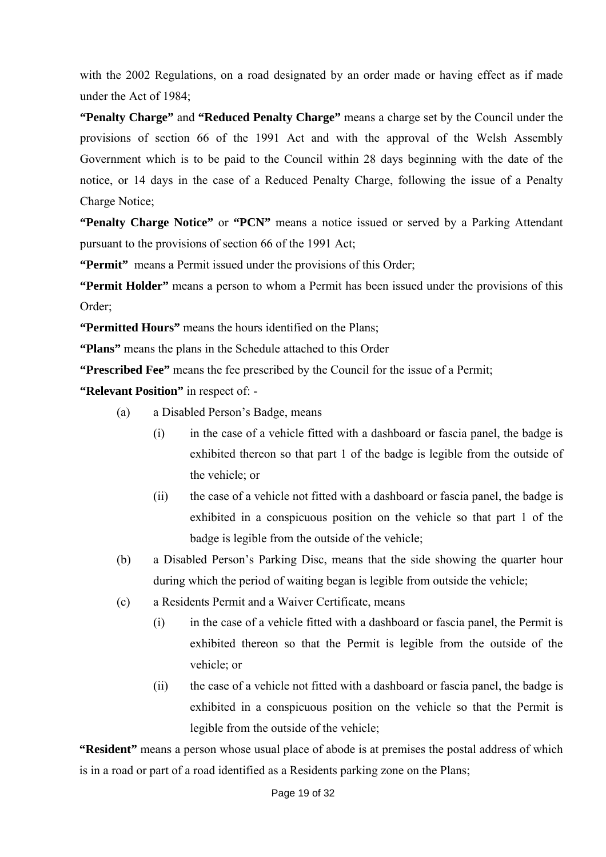with the 2002 Regulations, on a road designated by an order made or having effect as if made under the Act of 1984;

**"Penalty Charge"** and **"Reduced Penalty Charge"** means a charge set by the Council under the provisions of section 66 of the 1991 Act and with the approval of the Welsh Assembly Government which is to be paid to the Council within 28 days beginning with the date of the notice, or 14 days in the case of a Reduced Penalty Charge, following the issue of a Penalty Charge Notice;

**"Penalty Charge Notice"** or **"PCN"** means a notice issued or served by a Parking Attendant pursuant to the provisions of section 66 of the 1991 Act;

**"Permit"** means a Permit issued under the provisions of this Order;

**"Permit Holder"** means a person to whom a Permit has been issued under the provisions of this Order;

**"Permitted Hours"** means the hours identified on the Plans;

**"Plans"** means the plans in the Schedule attached to this Order

**"Prescribed Fee"** means the fee prescribed by the Council for the issue of a Permit;

**"Relevant Position"** in respect of: -

- (a) a Disabled Person's Badge, means
	- (i) in the case of a vehicle fitted with a dashboard or fascia panel, the badge is exhibited thereon so that part 1 of the badge is legible from the outside of the vehicle; or
	- (ii) the case of a vehicle not fitted with a dashboard or fascia panel, the badge is exhibited in a conspicuous position on the vehicle so that part 1 of the badge is legible from the outside of the vehicle;
- (b) a Disabled Person's Parking Disc, means that the side showing the quarter hour during which the period of waiting began is legible from outside the vehicle;
- (c) a Residents Permit and a Waiver Certificate, means
	- (i) in the case of a vehicle fitted with a dashboard or fascia panel, the Permit is exhibited thereon so that the Permit is legible from the outside of the vehicle; or
	- (ii) the case of a vehicle not fitted with a dashboard or fascia panel, the badge is exhibited in a conspicuous position on the vehicle so that the Permit is legible from the outside of the vehicle;

**"Resident"** means a person whose usual place of abode is at premises the postal address of which is in a road or part of a road identified as a Residents parking zone on the Plans;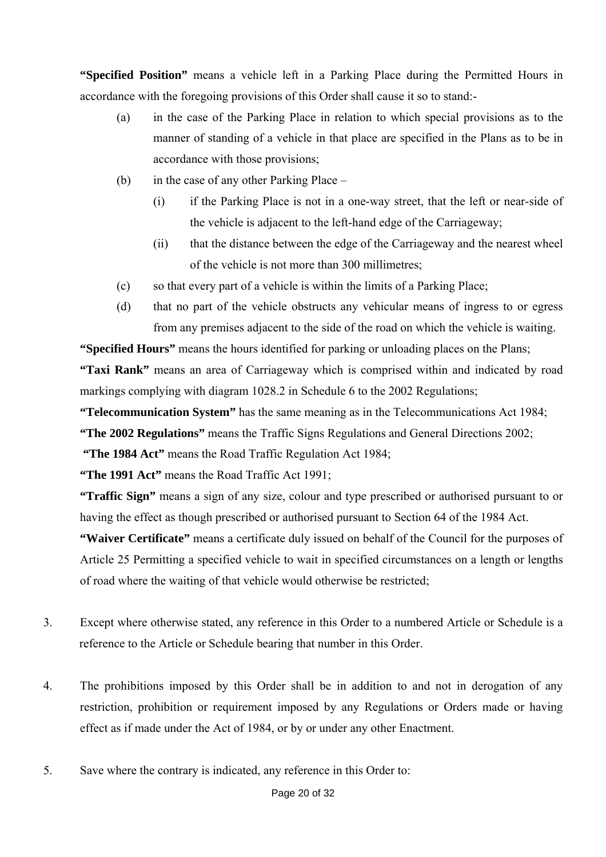**"Specified Position"** means a vehicle left in a Parking Place during the Permitted Hours in accordance with the foregoing provisions of this Order shall cause it so to stand:-

- (a) in the case of the Parking Place in relation to which special provisions as to the manner of standing of a vehicle in that place are specified in the Plans as to be in accordance with those provisions;
- (b) in the case of any other Parking Place
	- (i) if the Parking Place is not in a one-way street, that the left or near-side of the vehicle is adjacent to the left-hand edge of the Carriageway;
	- (ii) that the distance between the edge of the Carriageway and the nearest wheel of the vehicle is not more than 300 millimetres;
- (c) so that every part of a vehicle is within the limits of a Parking Place;
- (d) that no part of the vehicle obstructs any vehicular means of ingress to or egress from any premises adjacent to the side of the road on which the vehicle is waiting.

**"Specified Hours"** means the hours identified for parking or unloading places on the Plans; **"Taxi Rank"** means an area of Carriageway which is comprised within and indicated by road markings complying with diagram 1028.2 in Schedule 6 to the 2002 Regulations;

**"Telecommunication System"** has the same meaning as in the Telecommunications Act 1984;

**"The 2002 Regulations"** means the Traffic Signs Regulations and General Directions 2002;

**"The 1984 Act"** means the Road Traffic Regulation Act 1984;

**"The 1991 Act"** means the Road Traffic Act 1991;

**"Traffic Sign"** means a sign of any size, colour and type prescribed or authorised pursuant to or having the effect as though prescribed or authorised pursuant to Section 64 of the 1984 Act.

**"Waiver Certificate"** means a certificate duly issued on behalf of the Council for the purposes of Article 25 Permitting a specified vehicle to wait in specified circumstances on a length or lengths of road where the waiting of that vehicle would otherwise be restricted;

- 3. Except where otherwise stated, any reference in this Order to a numbered Article or Schedule is a reference to the Article or Schedule bearing that number in this Order.
- 4. The prohibitions imposed by this Order shall be in addition to and not in derogation of any restriction, prohibition or requirement imposed by any Regulations or Orders made or having effect as if made under the Act of 1984, or by or under any other Enactment.
- 5. Save where the contrary is indicated, any reference in this Order to: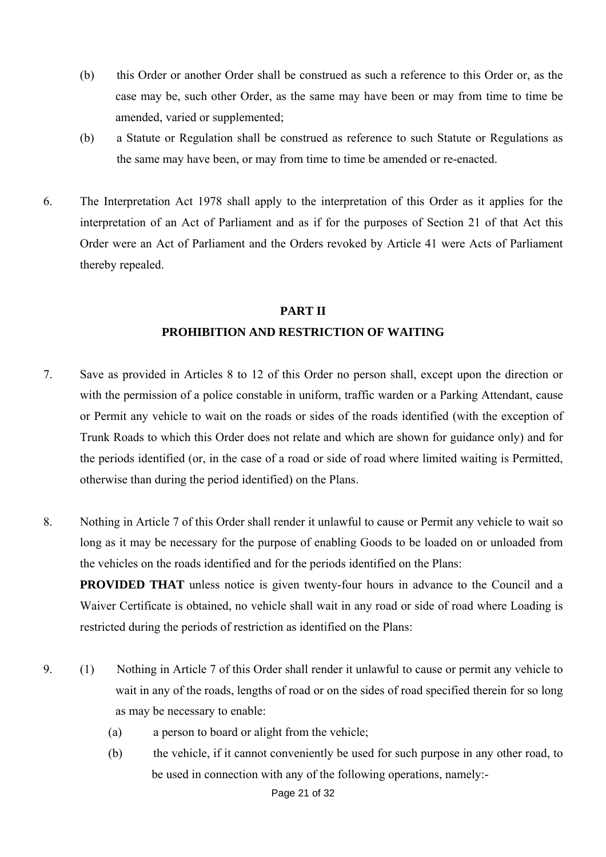- (b) this Order or another Order shall be construed as such a reference to this Order or, as the case may be, such other Order, as the same may have been or may from time to time be amended, varied or supplemented;
- (b) a Statute or Regulation shall be construed as reference to such Statute or Regulations as the same may have been, or may from time to time be amended or re-enacted.
- 6. The Interpretation Act 1978 shall apply to the interpretation of this Order as it applies for the interpretation of an Act of Parliament and as if for the purposes of Section 21 of that Act this Order were an Act of Parliament and the Orders revoked by Article 41 were Acts of Parliament thereby repealed.

# **PART II PROHIBITION AND RESTRICTION OF WAITING**

- 7. Save as provided in Articles 8 to 12 of this Order no person shall, except upon the direction or with the permission of a police constable in uniform, traffic warden or a Parking Attendant, cause or Permit any vehicle to wait on the roads or sides of the roads identified (with the exception of Trunk Roads to which this Order does not relate and which are shown for guidance only) and for the periods identified (or, in the case of a road or side of road where limited waiting is Permitted, otherwise than during the period identified) on the Plans.
- 8. Nothing in Article 7 of this Order shall render it unlawful to cause or Permit any vehicle to wait so long as it may be necessary for the purpose of enabling Goods to be loaded on or unloaded from the vehicles on the roads identified and for the periods identified on the Plans:

**PROVIDED THAT** unless notice is given twenty-four hours in advance to the Council and a Waiver Certificate is obtained, no vehicle shall wait in any road or side of road where Loading is restricted during the periods of restriction as identified on the Plans:

- 9. (1) Nothing in Article 7 of this Order shall render it unlawful to cause or permit any vehicle to wait in any of the roads, lengths of road or on the sides of road specified therein for so long as may be necessary to enable:
	- (a) a person to board or alight from the vehicle;
	- (b) the vehicle, if it cannot conveniently be used for such purpose in any other road, to be used in connection with any of the following operations, namely:-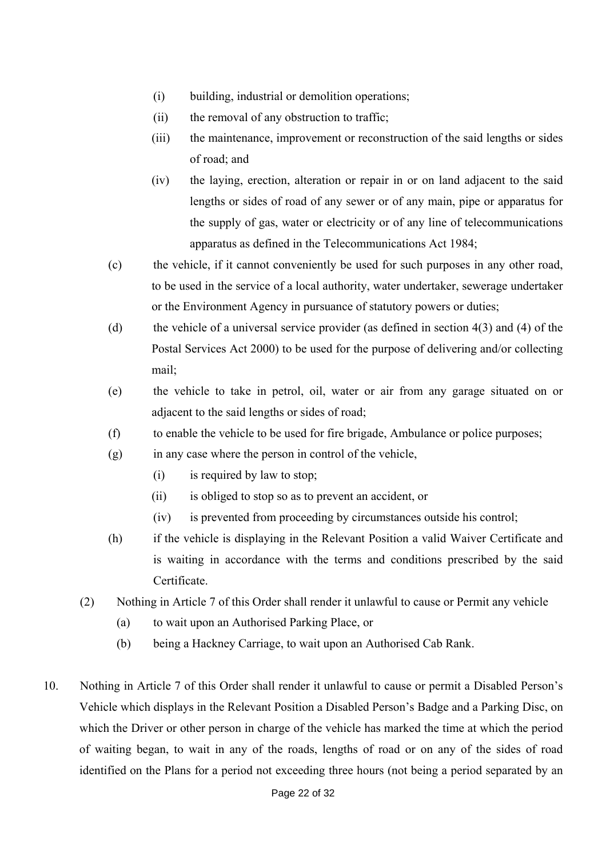- (i) building, industrial or demolition operations;
- (ii) the removal of any obstruction to traffic;
- (iii) the maintenance, improvement or reconstruction of the said lengths or sides of road; and
- (iv) the laying, erection, alteration or repair in or on land adjacent to the said lengths or sides of road of any sewer or of any main, pipe or apparatus for the supply of gas, water or electricity or of any line of telecommunications apparatus as defined in the Telecommunications Act 1984;
- (c) the vehicle, if it cannot conveniently be used for such purposes in any other road, to be used in the service of a local authority, water undertaker, sewerage undertaker or the Environment Agency in pursuance of statutory powers or duties;
- (d) the vehicle of a universal service provider (as defined in section 4(3) and (4) of the Postal Services Act 2000) to be used for the purpose of delivering and/or collecting mail;
- (e) the vehicle to take in petrol, oil, water or air from any garage situated on or adjacent to the said lengths or sides of road;
- (f) to enable the vehicle to be used for fire brigade, Ambulance or police purposes;
- (g) in any case where the person in control of the vehicle,
	- (i) is required by law to stop;
	- (ii) is obliged to stop so as to prevent an accident, or
	- (iv) is prevented from proceeding by circumstances outside his control;
- (h) if the vehicle is displaying in the Relevant Position a valid Waiver Certificate and is waiting in accordance with the terms and conditions prescribed by the said Certificate.
- (2) Nothing in Article 7 of this Order shall render it unlawful to cause or Permit any vehicle
	- (a) to wait upon an Authorised Parking Place, or
	- (b) being a Hackney Carriage, to wait upon an Authorised Cab Rank.
- 10. Nothing in Article 7 of this Order shall render it unlawful to cause or permit a Disabled Person's Vehicle which displays in the Relevant Position a Disabled Person's Badge and a Parking Disc, on which the Driver or other person in charge of the vehicle has marked the time at which the period of waiting began, to wait in any of the roads, lengths of road or on any of the sides of road identified on the Plans for a period not exceeding three hours (not being a period separated by an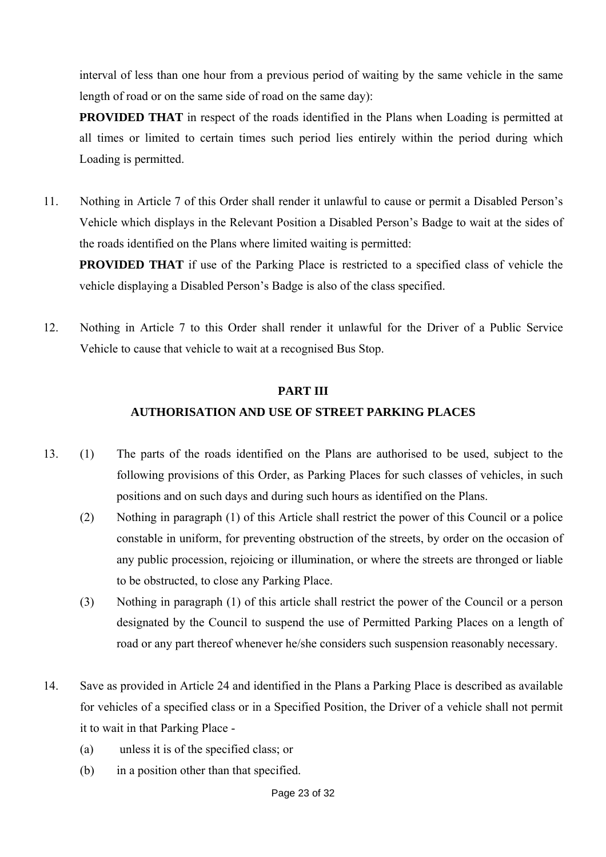interval of less than one hour from a previous period of waiting by the same vehicle in the same length of road or on the same side of road on the same day):

**PROVIDED THAT** in respect of the roads identified in the Plans when Loading is permitted at all times or limited to certain times such period lies entirely within the period during which Loading is permitted.

11. Nothing in Article 7 of this Order shall render it unlawful to cause or permit a Disabled Person's Vehicle which displays in the Relevant Position a Disabled Person's Badge to wait at the sides of the roads identified on the Plans where limited waiting is permitted:

**PROVIDED THAT** if use of the Parking Place is restricted to a specified class of vehicle the vehicle displaying a Disabled Person's Badge is also of the class specified.

12. Nothing in Article 7 to this Order shall render it unlawful for the Driver of a Public Service Vehicle to cause that vehicle to wait at a recognised Bus Stop.

#### **PART III**

### **AUTHORISATION AND USE OF STREET PARKING PLACES**

- 13. (1) The parts of the roads identified on the Plans are authorised to be used, subject to the following provisions of this Order, as Parking Places for such classes of vehicles, in such positions and on such days and during such hours as identified on the Plans.
	- (2) Nothing in paragraph (1) of this Article shall restrict the power of this Council or a police constable in uniform, for preventing obstruction of the streets, by order on the occasion of any public procession, rejoicing or illumination, or where the streets are thronged or liable to be obstructed, to close any Parking Place.
	- (3) Nothing in paragraph (1) of this article shall restrict the power of the Council or a person designated by the Council to suspend the use of Permitted Parking Places on a length of road or any part thereof whenever he/she considers such suspension reasonably necessary.
- 14. Save as provided in Article 24 and identified in the Plans a Parking Place is described as available for vehicles of a specified class or in a Specified Position, the Driver of a vehicle shall not permit it to wait in that Parking Place -
	- (a) unless it is of the specified class; or
	- (b) in a position other than that specified.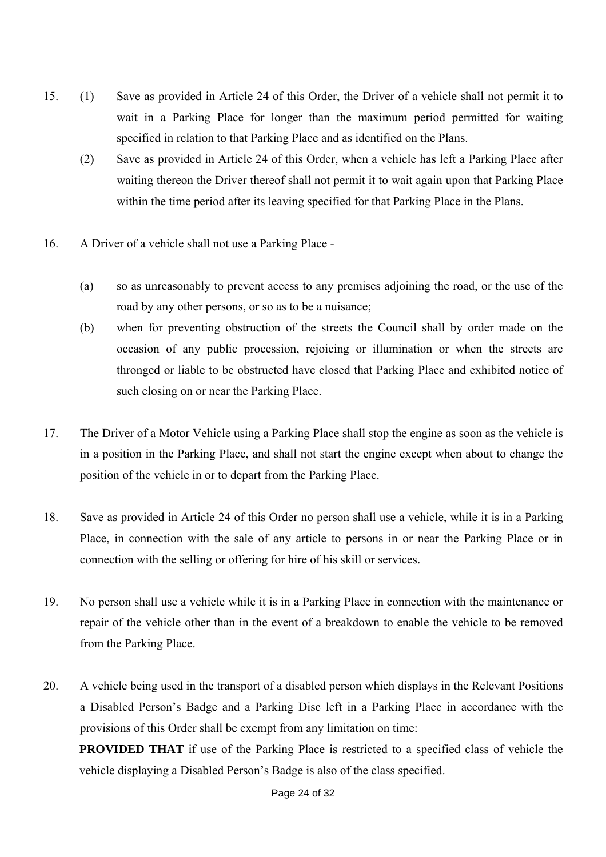- 15. (1) Save as provided in Article 24 of this Order, the Driver of a vehicle shall not permit it to wait in a Parking Place for longer than the maximum period permitted for waiting specified in relation to that Parking Place and as identified on the Plans.
	- (2) Save as provided in Article 24 of this Order, when a vehicle has left a Parking Place after waiting thereon the Driver thereof shall not permit it to wait again upon that Parking Place within the time period after its leaving specified for that Parking Place in the Plans.
- 16. A Driver of a vehicle shall not use a Parking Place
	- (a) so as unreasonably to prevent access to any premises adjoining the road, or the use of the road by any other persons, or so as to be a nuisance;
	- (b) when for preventing obstruction of the streets the Council shall by order made on the occasion of any public procession, rejoicing or illumination or when the streets are thronged or liable to be obstructed have closed that Parking Place and exhibited notice of such closing on or near the Parking Place.
- 17. The Driver of a Motor Vehicle using a Parking Place shall stop the engine as soon as the vehicle is in a position in the Parking Place, and shall not start the engine except when about to change the position of the vehicle in or to depart from the Parking Place.
- 18. Save as provided in Article 24 of this Order no person shall use a vehicle, while it is in a Parking Place, in connection with the sale of any article to persons in or near the Parking Place or in connection with the selling or offering for hire of his skill or services.
- 19. No person shall use a vehicle while it is in a Parking Place in connection with the maintenance or repair of the vehicle other than in the event of a breakdown to enable the vehicle to be removed from the Parking Place.
- 20. A vehicle being used in the transport of a disabled person which displays in the Relevant Positions a Disabled Person's Badge and a Parking Disc left in a Parking Place in accordance with the provisions of this Order shall be exempt from any limitation on time:

**PROVIDED THAT** if use of the Parking Place is restricted to a specified class of vehicle the vehicle displaying a Disabled Person's Badge is also of the class specified.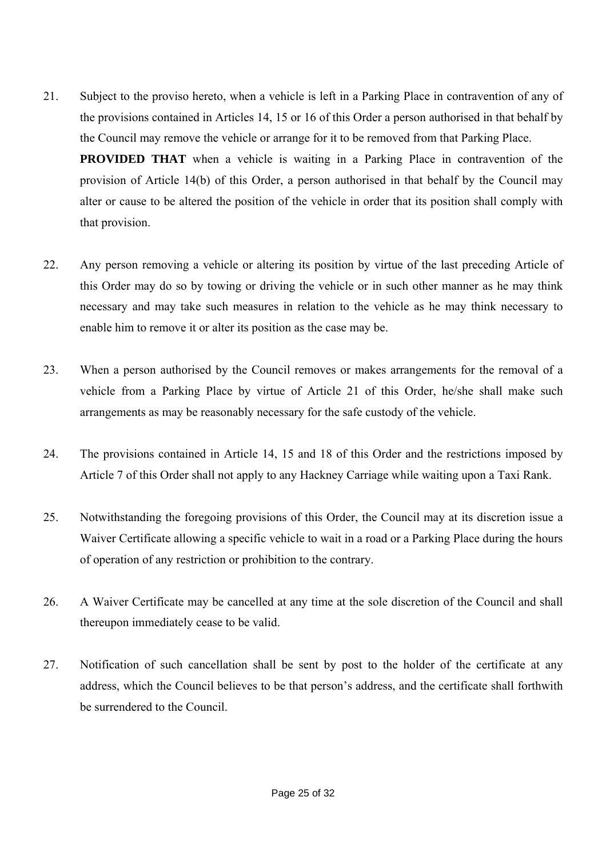- 21. Subject to the proviso hereto, when a vehicle is left in a Parking Place in contravention of any of the provisions contained in Articles 14, 15 or 16 of this Order a person authorised in that behalf by the Council may remove the vehicle or arrange for it to be removed from that Parking Place. **PROVIDED THAT** when a vehicle is waiting in a Parking Place in contravention of the provision of Article 14(b) of this Order, a person authorised in that behalf by the Council may alter or cause to be altered the position of the vehicle in order that its position shall comply with that provision.
- 22. Any person removing a vehicle or altering its position by virtue of the last preceding Article of this Order may do so by towing or driving the vehicle or in such other manner as he may think necessary and may take such measures in relation to the vehicle as he may think necessary to enable him to remove it or alter its position as the case may be.
- 23. When a person authorised by the Council removes or makes arrangements for the removal of a vehicle from a Parking Place by virtue of Article 21 of this Order, he/she shall make such arrangements as may be reasonably necessary for the safe custody of the vehicle.
- 24. The provisions contained in Article 14, 15 and 18 of this Order and the restrictions imposed by Article 7 of this Order shall not apply to any Hackney Carriage while waiting upon a Taxi Rank.
- 25. Notwithstanding the foregoing provisions of this Order, the Council may at its discretion issue a Waiver Certificate allowing a specific vehicle to wait in a road or a Parking Place during the hours of operation of any restriction or prohibition to the contrary.
- 26. A Waiver Certificate may be cancelled at any time at the sole discretion of the Council and shall thereupon immediately cease to be valid.
- 27. Notification of such cancellation shall be sent by post to the holder of the certificate at any address, which the Council believes to be that person's address, and the certificate shall forthwith be surrendered to the Council.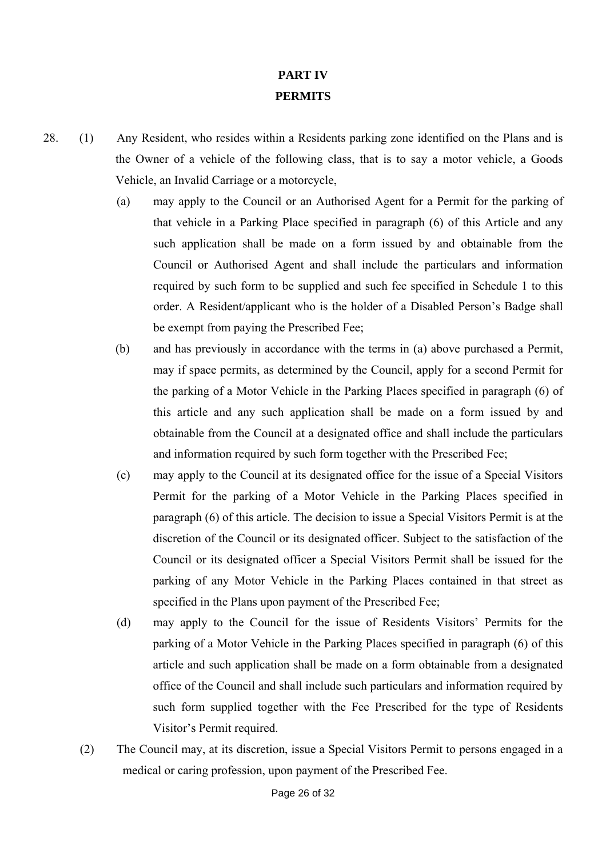# **PART IV PERMITS**

- 28. (1) Any Resident, who resides within a Residents parking zone identified on the Plans and is the Owner of a vehicle of the following class, that is to say a motor vehicle, a Goods Vehicle, an Invalid Carriage or a motorcycle,
	- (a) may apply to the Council or an Authorised Agent for a Permit for the parking of that vehicle in a Parking Place specified in paragraph (6) of this Article and any such application shall be made on a form issued by and obtainable from the Council or Authorised Agent and shall include the particulars and information required by such form to be supplied and such fee specified in Schedule 1 to this order. A Resident/applicant who is the holder of a Disabled Person's Badge shall be exempt from paying the Prescribed Fee;
	- (b) and has previously in accordance with the terms in (a) above purchased a Permit, may if space permits, as determined by the Council, apply for a second Permit for the parking of a Motor Vehicle in the Parking Places specified in paragraph (6) of this article and any such application shall be made on a form issued by and obtainable from the Council at a designated office and shall include the particulars and information required by such form together with the Prescribed Fee;
	- (c) may apply to the Council at its designated office for the issue of a Special Visitors Permit for the parking of a Motor Vehicle in the Parking Places specified in paragraph (6) of this article. The decision to issue a Special Visitors Permit is at the discretion of the Council or its designated officer. Subject to the satisfaction of the Council or its designated officer a Special Visitors Permit shall be issued for the parking of any Motor Vehicle in the Parking Places contained in that street as specified in the Plans upon payment of the Prescribed Fee;
	- (d) may apply to the Council for the issue of Residents Visitors' Permits for the parking of a Motor Vehicle in the Parking Places specified in paragraph (6) of this article and such application shall be made on a form obtainable from a designated office of the Council and shall include such particulars and information required by such form supplied together with the Fee Prescribed for the type of Residents Visitor's Permit required.
	- (2) The Council may, at its discretion, issue a Special Visitors Permit to persons engaged in a medical or caring profession, upon payment of the Prescribed Fee.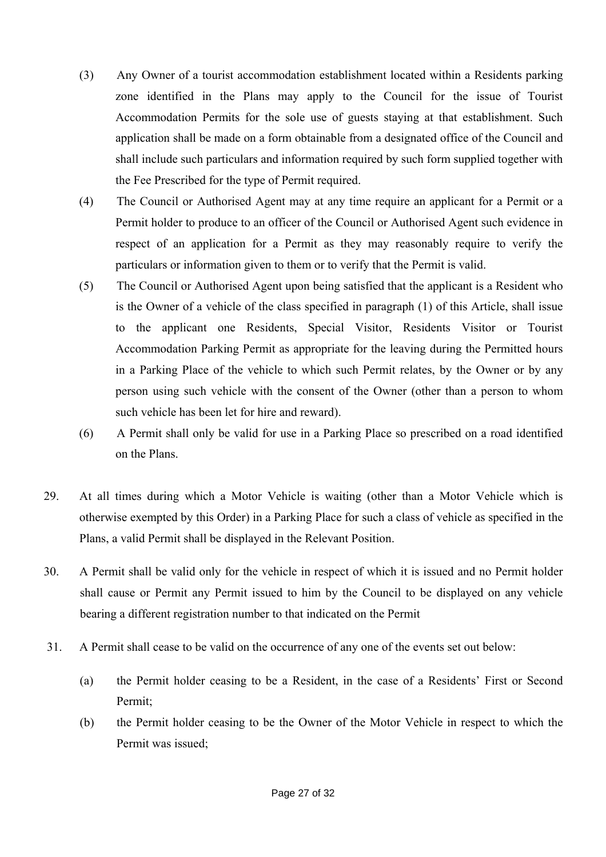- (3) Any Owner of a tourist accommodation establishment located within a Residents parking zone identified in the Plans may apply to the Council for the issue of Tourist Accommodation Permits for the sole use of guests staying at that establishment. Such application shall be made on a form obtainable from a designated office of the Council and shall include such particulars and information required by such form supplied together with the Fee Prescribed for the type of Permit required.
- (4) The Council or Authorised Agent may at any time require an applicant for a Permit or a Permit holder to produce to an officer of the Council or Authorised Agent such evidence in respect of an application for a Permit as they may reasonably require to verify the particulars or information given to them or to verify that the Permit is valid.
- (5) The Council or Authorised Agent upon being satisfied that the applicant is a Resident who is the Owner of a vehicle of the class specified in paragraph (1) of this Article, shall issue to the applicant one Residents, Special Visitor, Residents Visitor or Tourist Accommodation Parking Permit as appropriate for the leaving during the Permitted hours in a Parking Place of the vehicle to which such Permit relates, by the Owner or by any person using such vehicle with the consent of the Owner (other than a person to whom such vehicle has been let for hire and reward).
- (6) A Permit shall only be valid for use in a Parking Place so prescribed on a road identified on the Plans.
- 29. At all times during which a Motor Vehicle is waiting (other than a Motor Vehicle which is otherwise exempted by this Order) in a Parking Place for such a class of vehicle as specified in the Plans, a valid Permit shall be displayed in the Relevant Position.
- 30. A Permit shall be valid only for the vehicle in respect of which it is issued and no Permit holder shall cause or Permit any Permit issued to him by the Council to be displayed on any vehicle bearing a different registration number to that indicated on the Permit
- 31. A Permit shall cease to be valid on the occurrence of any one of the events set out below:
	- (a) the Permit holder ceasing to be a Resident, in the case of a Residents' First or Second Permit;
	- (b) the Permit holder ceasing to be the Owner of the Motor Vehicle in respect to which the Permit was issued;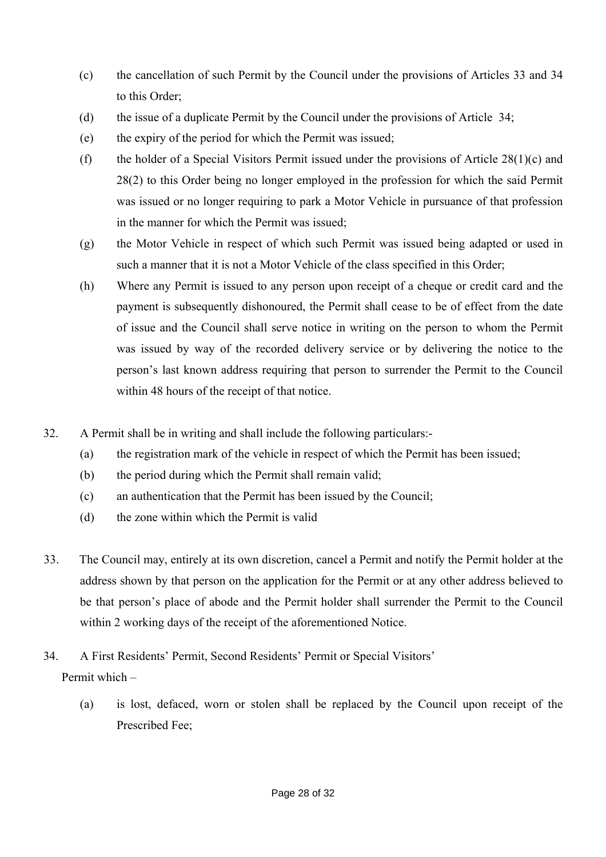- (c) the cancellation of such Permit by the Council under the provisions of Articles 33 and 34 to this Order;
- (d) the issue of a duplicate Permit by the Council under the provisions of Article 34;
- (e) the expiry of the period for which the Permit was issued;
- (f) the holder of a Special Visitors Permit issued under the provisions of Article  $28(1)(c)$  and 28(2) to this Order being no longer employed in the profession for which the said Permit was issued or no longer requiring to park a Motor Vehicle in pursuance of that profession in the manner for which the Permit was issued;
- (g) the Motor Vehicle in respect of which such Permit was issued being adapted or used in such a manner that it is not a Motor Vehicle of the class specified in this Order;
- (h) Where any Permit is issued to any person upon receipt of a cheque or credit card and the payment is subsequently dishonoured, the Permit shall cease to be of effect from the date of issue and the Council shall serve notice in writing on the person to whom the Permit was issued by way of the recorded delivery service or by delivering the notice to the person's last known address requiring that person to surrender the Permit to the Council within 48 hours of the receipt of that notice.
- 32. A Permit shall be in writing and shall include the following particulars:-
	- (a) the registration mark of the vehicle in respect of which the Permit has been issued;
	- (b) the period during which the Permit shall remain valid;
	- (c) an authentication that the Permit has been issued by the Council;
	- (d) the zone within which the Permit is valid
- 33. The Council may, entirely at its own discretion, cancel a Permit and notify the Permit holder at the address shown by that person on the application for the Permit or at any other address believed to be that person's place of abode and the Permit holder shall surrender the Permit to the Council within 2 working days of the receipt of the aforementioned Notice.
- 34. A First Residents' Permit, Second Residents' Permit or Special Visitors' Permit which –
	- (a) is lost, defaced, worn or stolen shall be replaced by the Council upon receipt of the Prescribed Fee;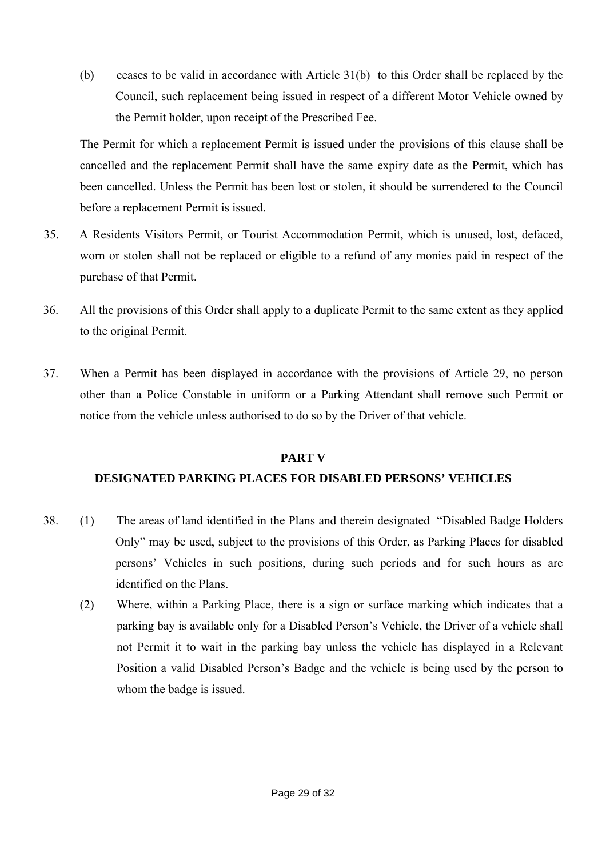(b) ceases to be valid in accordance with Article 31(b) to this Order shall be replaced by the Council, such replacement being issued in respect of a different Motor Vehicle owned by the Permit holder, upon receipt of the Prescribed Fee.

The Permit for which a replacement Permit is issued under the provisions of this clause shall be cancelled and the replacement Permit shall have the same expiry date as the Permit, which has been cancelled. Unless the Permit has been lost or stolen, it should be surrendered to the Council before a replacement Permit is issued.

- 35. A Residents Visitors Permit, or Tourist Accommodation Permit, which is unused, lost, defaced, worn or stolen shall not be replaced or eligible to a refund of any monies paid in respect of the purchase of that Permit.
- 36. All the provisions of this Order shall apply to a duplicate Permit to the same extent as they applied to the original Permit.
- 37. When a Permit has been displayed in accordance with the provisions of Article 29, no person other than a Police Constable in uniform or a Parking Attendant shall remove such Permit or notice from the vehicle unless authorised to do so by the Driver of that vehicle.

### **PART V**

### **DESIGNATED PARKING PLACES FOR DISABLED PERSONS' VEHICLES**

- 38. (1) The areas of land identified in the Plans and therein designated "Disabled Badge Holders Only" may be used, subject to the provisions of this Order, as Parking Places for disabled persons' Vehicles in such positions, during such periods and for such hours as are identified on the Plans.
	- (2) Where, within a Parking Place, there is a sign or surface marking which indicates that a parking bay is available only for a Disabled Person's Vehicle, the Driver of a vehicle shall not Permit it to wait in the parking bay unless the vehicle has displayed in a Relevant Position a valid Disabled Person's Badge and the vehicle is being used by the person to whom the badge is issued.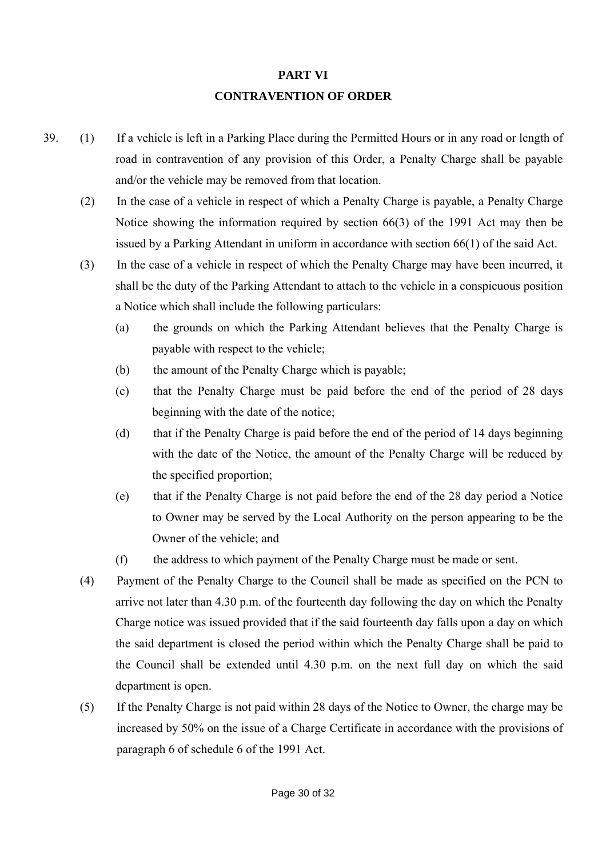# **PART VI CONTRAVENTION OF ORDER**

- 39. (1) If a vehicle is left in a Parking Place during the Permitted Hours or in any road or length of road in contravention of any provision of this Order, a Penalty Charge shall be payable and/or the vehicle may be removed from that location.
	- (2) In the case of a vehicle in respect of which a Penalty Charge is payable, a Penalty Charge Notice showing the information required by section 66(3) of the 1991 Act may then be issued by a Parking Attendant in uniform in accordance with section 66(1) of the said Act.
	- (3) In the case of a vehicle in respect of which the Penalty Charge may have been incurred, it shall be the duty of the Parking Attendant to attach to the vehicle in a conspicuous position a Notice which shall include the following particulars:
		- (a) the grounds on which the Parking Attendant believes that the Penalty Charge is payable with respect to the vehicle;
		- (b) the amount of the Penalty Charge which is payable;
		- (c) that the Penalty Charge must be paid before the end of the period of 28 days beginning with the date of the notice;
		- (d) that if the Penalty Charge is paid before the end of the period of 14 days beginning with the date of the Notice, the amount of the Penalty Charge will be reduced by the specified proportion;
		- (e) that if the Penalty Charge is not paid before the end of the 28 day period a Notice to Owner may be served by the Local Authority on the person appearing to be the Owner of the vehicle; and
		- (f) the address to which payment of the Penalty Charge must be made or sent.
	- (4) Payment of the Penalty Charge to the Council shall be made as specified on the PCN to arrive not later than 4.30 p.m. of the fourteenth day following the day on which the Penalty Charge notice was issued provided that if the said fourteenth day falls upon a day on which the said department is closed the period within which the Penalty Charge shall be paid to the Council shall be extended until 4.30 p.m. on the next full day on which the said department is open.
	- (5) If the Penalty Charge is not paid within 28 days of the Notice to Owner, the charge may be increased by 50% on the issue of a Charge Certificate in accordance with the provisions of paragraph 6 of schedule 6 of the 1991 Act.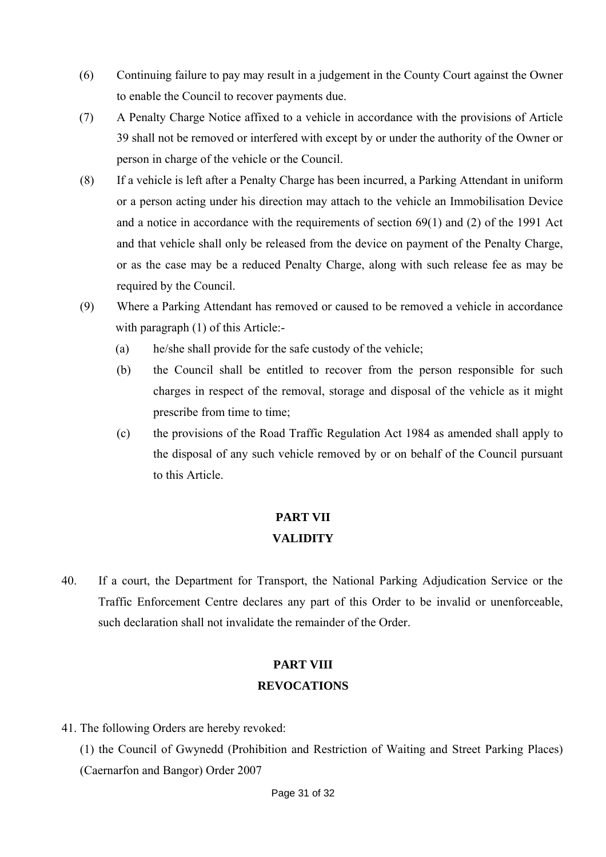- (6) Continuing failure to pay may result in a judgement in the County Court against the Owner to enable the Council to recover payments due.
- (7) A Penalty Charge Notice affixed to a vehicle in accordance with the provisions of Article 39 shall not be removed or interfered with except by or under the authority of the Owner or person in charge of the vehicle or the Council.
- (8) If a vehicle is left after a Penalty Charge has been incurred, a Parking Attendant in uniform or a person acting under his direction may attach to the vehicle an Immobilisation Device and a notice in accordance with the requirements of section 69(1) and (2) of the 1991 Act and that vehicle shall only be released from the device on payment of the Penalty Charge, or as the case may be a reduced Penalty Charge, along with such release fee as may be required by the Council.
- (9) Where a Parking Attendant has removed or caused to be removed a vehicle in accordance with paragraph (1) of this Article:-
	- (a) he/she shall provide for the safe custody of the vehicle;
	- (b) the Council shall be entitled to recover from the person responsible for such charges in respect of the removal, storage and disposal of the vehicle as it might prescribe from time to time;
	- (c) the provisions of the Road Traffic Regulation Act 1984 as amended shall apply to the disposal of any such vehicle removed by or on behalf of the Council pursuant to this Article.

# **PART VII VALIDITY**

40. If a court, the Department for Transport, the National Parking Adjudication Service or the Traffic Enforcement Centre declares any part of this Order to be invalid or unenforceable, such declaration shall not invalidate the remainder of the Order.

## **PART VIII REVOCATIONS**

41. The following Orders are hereby revoked:

(1) the Council of Gwynedd (Prohibition and Restriction of Waiting and Street Parking Places) (Caernarfon and Bangor) Order 2007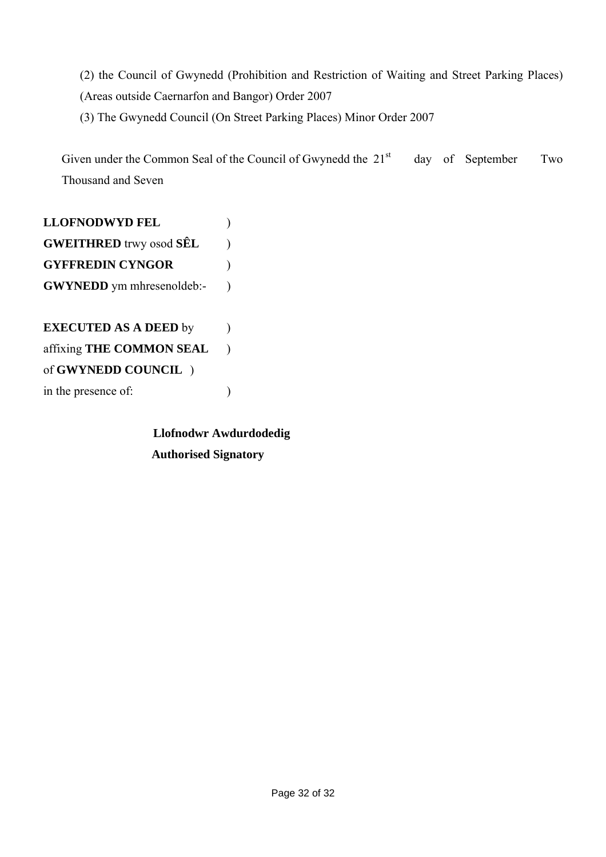(2) the Council of Gwynedd (Prohibition and Restriction of Waiting and Street Parking Places) (Areas outside Caernarfon and Bangor) Order 2007

(3) The Gwynedd Council (On Street Parking Places) Minor Order 2007

Given under the Common Seal of the Council of Gwynedd the  $21<sup>st</sup>$  day of September Two Thousand and Seven

**LLOFNODWYD FEL** ) **GWEITHRED** trwy osod **SÊL** ) **GYFFREDIN CYNGOR** ) **GWYNEDD** ym mhresenoldeb:-**EXECUTED AS A DEED** by affixing **THE COMMON SEAL** )

of **GWYNEDD COUNCIL** ) in the presence of:  $\qquad \qquad$  )

> **Llofnodwr Awdurdodedig Authorised Signatory**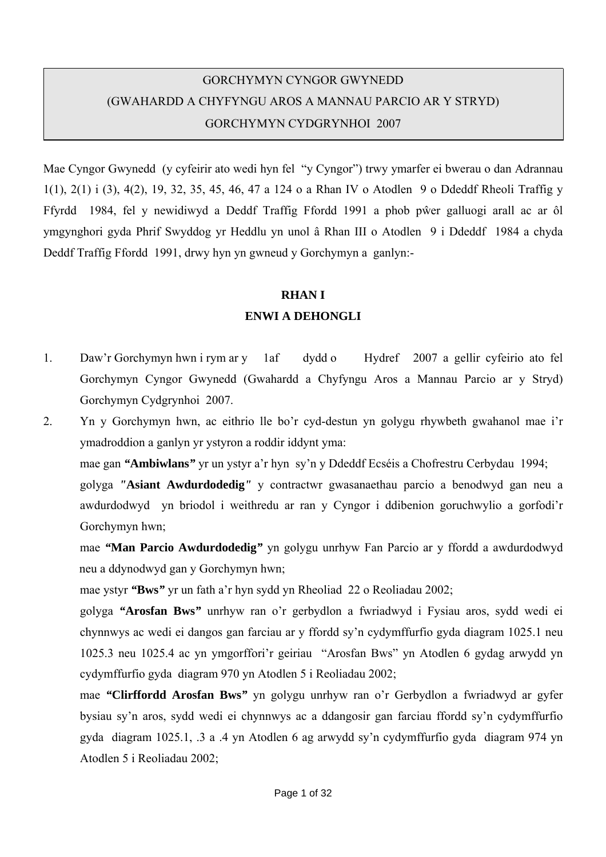# GORCHYMYN CYNGOR GWYNEDD (GWAHARDD A CHYFYNGU AROS A MANNAU PARCIO AR Y STRYD) GORCHYMYN CYDGRYNHOI 2007

Mae Cyngor Gwynedd (y cyfeirir ato wedi hyn fel "y Cyngor") trwy ymarfer ei bwerau o dan Adrannau 1(1), 2(1) i (3), 4(2), 19, 32, 35, 45, 46, 47 a 124 o a Rhan IV o Atodlen 9 o Ddeddf Rheoli Traffig y Ffyrdd 1984, fel y newidiwyd a Deddf Traffig Ffordd 1991 a phob pŵer galluogi arall ac ar ôl ymgynghori gyda Phrif Swyddog yr Heddlu yn unol â Rhan III o Atodlen 9 i Ddeddf 1984 a chyda Deddf Traffig Ffordd 1991, drwy hyn yn gwneud y Gorchymyn a ganlyn:-

### **RHAN I**

### **ENWI A DEHONGLI**

- 1. Daw'r Gorchymyn hwn i rym ar y 1af dydd o Hydref 2007 a gellir cyfeirio ato fel Gorchymyn Cyngor Gwynedd (Gwahardd a Chyfyngu Aros a Mannau Parcio ar y Stryd) Gorchymyn Cydgrynhoi 2007.
- 2. Yn y Gorchymyn hwn, ac eithrio lle bo'r cyd-destun yn golygu rhywbeth gwahanol mae i'r ymadroddion a ganlyn yr ystyron a roddir iddynt yma:

mae gan *"***Ambiwlans***"* yr un ystyr a'r hyn sy'n y Ddeddf Ecséis a Chofrestru Cerbydau 1994;

golyga *"***Asiant Awdurdodedig***"* y contractwr gwasanaethau parcio a benodwyd gan neu a awdurdodwyd yn briodol i weithredu ar ran y Cyngor i ddibenion goruchwylio a gorfodi'r Gorchymyn hwn;

 mae *"***Man Parcio Awdurdodedig***"* yn golygu unrhyw Fan Parcio ar y ffordd a awdurdodwyd neu a ddynodwyd gan y Gorchymyn hwn;

mae ystyr *"***Bws***"* yr un fath a'r hyn sydd yn Rheoliad 22 o Reoliadau 2002;

golyga *"***Arosfan Bws***"* unrhyw ran o'r gerbydlon a fwriadwyd i Fysiau aros, sydd wedi ei chynnwys ac wedi ei dangos gan farciau ar y ffordd sy'n cydymffurfio gyda diagram 1025.1 neu 1025.3 neu 1025.4 ac yn ymgorffori'r geiriau "Arosfan Bws" yn Atodlen 6 gydag arwydd yn cydymffurfio gyda diagram 970 yn Atodlen 5 i Reoliadau 2002;

mae *"***Clirffordd Arosfan Bws***"* yn golygu unrhyw ran o'r Gerbydlon a fwriadwyd ar gyfer bysiau sy'n aros, sydd wedi ei chynnwys ac a ddangosir gan farciau ffordd sy'n cydymffurfio gyda diagram 1025.1, .3 a .4 yn Atodlen 6 ag arwydd sy'n cydymffurfio gyda diagram 974 yn Atodlen 5 i Reoliadau 2002;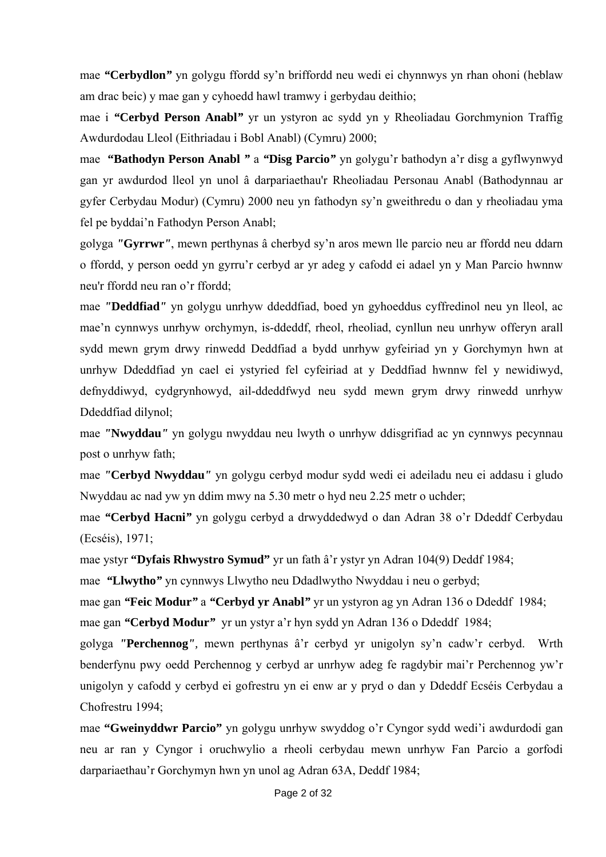mae *"***Cerbydlon***"* yn golygu ffordd sy'n briffordd neu wedi ei chynnwys yn rhan ohoni (heblaw am drac beic) y mae gan y cyhoedd hawl tramwy i gerbydau deithio;

mae i *"***Cerbyd Person Anabl***"* yr un ystyron ac sydd yn y Rheoliadau Gorchmynion Traffig Awdurdodau Lleol (Eithriadau i Bobl Anabl) (Cymru) 2000;

mae **"Bathodyn Person Anabl** *"* a *"***Disg Parcio***"* yn golygu'r bathodyn a'r disg a gyflwynwyd gan yr awdurdod lleol yn unol â darpariaethau'r Rheoliadau Personau Anabl (Bathodynnau ar gyfer Cerbydau Modur) (Cymru) 2000 neu yn fathodyn sy'n gweithredu o dan y rheoliadau yma fel pe byddai'n Fathodyn Person Anabl;

golyga *"***Gyrrwr***"*, mewn perthynas â cherbyd sy'n aros mewn lle parcio neu ar ffordd neu ddarn o ffordd, y person oedd yn gyrru'r cerbyd ar yr adeg y cafodd ei adael yn y Man Parcio hwnnw neu'r ffordd neu ran o'r ffordd;

mae *"***Deddfiad***"* yn golygu unrhyw ddeddfiad, boed yn gyhoeddus cyffredinol neu yn lleol, ac mae'n cynnwys unrhyw orchymyn, is-ddeddf, rheol, rheoliad, cynllun neu unrhyw offeryn arall sydd mewn grym drwy rinwedd Deddfiad a bydd unrhyw gyfeiriad yn y Gorchymyn hwn at unrhyw Ddeddfiad yn cael ei ystyried fel cyfeiriad at y Deddfiad hwnnw fel y newidiwyd, defnyddiwyd, cydgrynhowyd, ail-ddeddfwyd neu sydd mewn grym drwy rinwedd unrhyw Ddeddfiad dilynol;

mae *"***Nwyddau***"* yn golygu nwyddau neu lwyth o unrhyw ddisgrifiad ac yn cynnwys pecynnau post o unrhyw fath;

mae *"***Cerbyd Nwyddau***"* yn golygu cerbyd modur sydd wedi ei adeiladu neu ei addasu i gludo Nwyddau ac nad yw yn ddim mwy na 5.30 metr o hyd neu 2.25 metr o uchder;

mae *"***Cerbyd Hacni***"* yn golygu cerbyd a drwyddedwyd o dan Adran 38 o'r Ddeddf Cerbydau (Ecséis), 1971;

mae ystyr **"Dyfais Rhwystro Symud"** yr un fath â'r ystyr yn Adran 104(9) Deddf 1984;

mae *"***Llwytho***"* yn cynnwys Llwytho neu Ddadlwytho Nwyddau i neu o gerbyd;

mae gan *"***Feic Modur***"* a *"***Cerbyd yr Anabl***"* yr un ystyron ag yn Adran 136 o Ddeddf 1984; mae gan *"***Cerbyd Modur***"* yr un ystyr a'r hyn sydd yn Adran 136 o Ddeddf 1984;

golyga *"***Perchennog***",* mewn perthynas â'r cerbyd yr unigolyn sy'n cadw'r cerbyd. Wrth benderfynu pwy oedd Perchennog y cerbyd ar unrhyw adeg fe ragdybir mai'r Perchennog yw'r unigolyn y cafodd y cerbyd ei gofrestru yn ei enw ar y pryd o dan y Ddeddf Ecséis Cerbydau a Chofrestru 1994;

mae **"Gweinyddwr Parcio"** yn golygu unrhyw swyddog o'r Cyngor sydd wedi'i awdurdodi gan neu ar ran y Cyngor i oruchwylio a rheoli cerbydau mewn unrhyw Fan Parcio a gorfodi darpariaethau'r Gorchymyn hwn yn unol ag Adran 63A, Deddf 1984;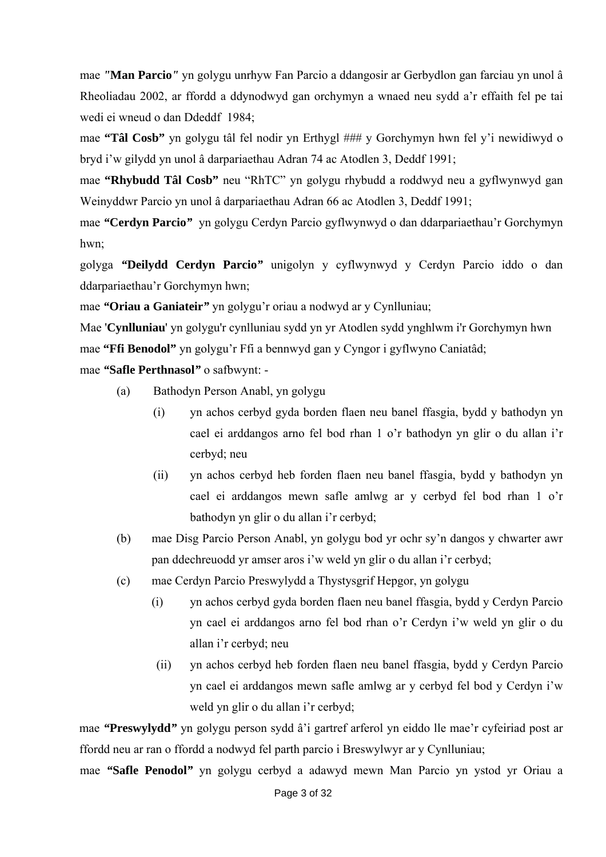mae *"***Man Parcio***"* yn golygu unrhyw Fan Parcio a ddangosir ar Gerbydlon gan farciau yn unol â Rheoliadau 2002, ar ffordd a ddynodwyd gan orchymyn a wnaed neu sydd a'r effaith fel pe tai wedi ei wneud o dan Ddeddf 1984;

 mae **"Tâl Cosb"** yn golygu tâl fel nodir yn Erthygl ### y Gorchymyn hwn fel y'i newidiwyd o bryd i'w gilydd yn unol â darpariaethau Adran 74 ac Atodlen 3, Deddf 1991;

 mae **"Rhybudd Tâl Cosb"** neu "RhTC" yn golygu rhybudd a roddwyd neu a gyflwynwyd gan Weinyddwr Parcio yn unol â darpariaethau Adran 66 ac Atodlen 3, Deddf 1991;

mae *"***Cerdyn Parcio***"* yn golygu Cerdyn Parcio gyflwynwyd o dan ddarpariaethau'r Gorchymyn hwn;

 golyga *"***Deilydd Cerdyn Parcio***"* unigolyn y cyflwynwyd y Cerdyn Parcio iddo o dan ddarpariaethau'r Gorchymyn hwn;

mae *"***Oriau a Ganiateir***"* yn golygu'r oriau a nodwyd ar y Cynlluniau;

Mae '**Cynlluniau**' yn golygu'r cynlluniau sydd yn yr Atodlen sydd ynghlwm i'r Gorchymyn hwn mae **"Ffi Benodol"** yn golygu'r Ffi a bennwyd gan y Cyngor i gyflwyno Caniatâd;

mae *"***Safle Perthnasol***"* o safbwynt: -

- (a) Bathodyn Person Anabl, yn golygu
	- (i) yn achos cerbyd gyda borden flaen neu banel ffasgia, bydd y bathodyn yn cael ei arddangos arno fel bod rhan 1 o'r bathodyn yn glir o du allan i'r cerbyd; neu
	- (ii) yn achos cerbyd heb forden flaen neu banel ffasgia, bydd y bathodyn yn cael ei arddangos mewn safle amlwg ar y cerbyd fel bod rhan 1 o'r bathodyn yn glir o du allan i'r cerbyd;
- (b) mae Disg Parcio Person Anabl, yn golygu bod yr ochr sy'n dangos y chwarter awr pan ddechreuodd yr amser aros i'w weld yn glir o du allan i'r cerbyd;
- (c) mae Cerdyn Parcio Preswylydd a Thystysgrif Hepgor, yn golygu
	- (i) yn achos cerbyd gyda borden flaen neu banel ffasgia, bydd y Cerdyn Parcio yn cael ei arddangos arno fel bod rhan o'r Cerdyn i'w weld yn glir o du allan i'r cerbyd; neu
	- (ii) yn achos cerbyd heb forden flaen neu banel ffasgia, bydd y Cerdyn Parcio yn cael ei arddangos mewn safle amlwg ar y cerbyd fel bod y Cerdyn i'w weld yn glir o du allan i'r cerbyd;

mae *"***Preswylydd***"* yn golygu person sydd â'i gartref arferol yn eiddo lle mae'r cyfeiriad post ar ffordd neu ar ran o ffordd a nodwyd fel parth parcio i Breswylwyr ar y Cynlluniau;

mae *"***Safle Penodol***"* yn golygu cerbyd a adawyd mewn Man Parcio yn ystod yr Oriau a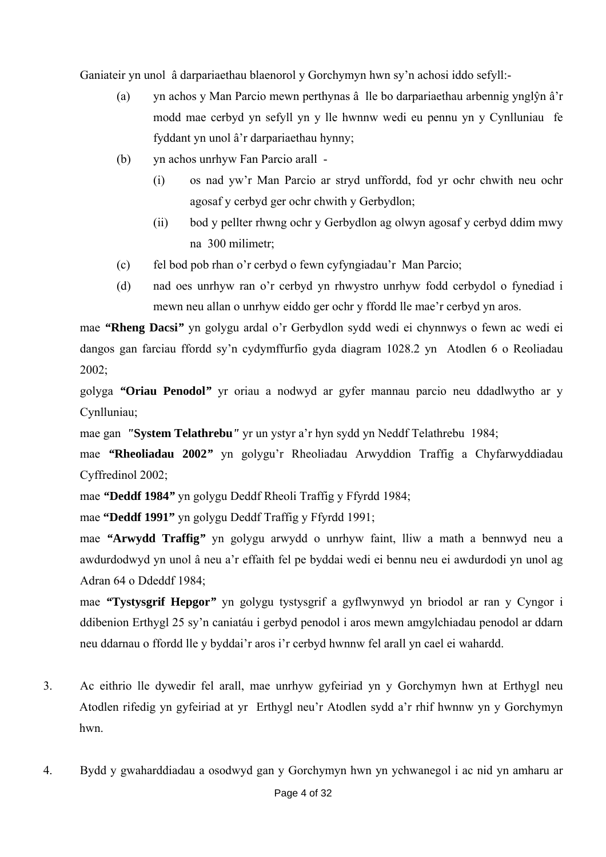Ganiateir yn unol â darpariaethau blaenorol y Gorchymyn hwn sy'n achosi iddo sefyll:-

- (a) yn achos y Man Parcio mewn perthynas â lle bo darpariaethau arbennig ynglŷn â'r modd mae cerbyd yn sefyll yn y lle hwnnw wedi eu pennu yn y Cynlluniau fe fyddant yn unol â'r darpariaethau hynny;
- (b) yn achos unrhyw Fan Parcio arall
	- (i) os nad yw'r Man Parcio ar stryd unffordd, fod yr ochr chwith neu ochr agosaf y cerbyd ger ochr chwith y Gerbydlon;
	- (ii) bod y pellter rhwng ochr y Gerbydlon ag olwyn agosaf y cerbyd ddim mwy na 300 milimetr;
- (c) fel bod pob rhan o'r cerbyd o fewn cyfyngiadau'r Man Parcio;
- (d) nad oes unrhyw ran o'r cerbyd yn rhwystro unrhyw fodd cerbydol o fynediad i mewn neu allan o unrhyw eiddo ger ochr y ffordd lle mae'r cerbyd yn aros.

mae *"***Rheng Dacsi***"* yn golygu ardal o'r Gerbydlon sydd wedi ei chynnwys o fewn ac wedi ei dangos gan farciau ffordd sy'n cydymffurfio gyda diagram 1028.2 yn Atodlen 6 o Reoliadau 2002;

golyga *"***Oriau Penodol***"* yr oriau a nodwyd ar gyfer mannau parcio neu ddadlwytho ar y Cynlluniau;

mae gan *"***System Telathrebu***"* yr un ystyr a'r hyn sydd yn Neddf Telathrebu 1984;

mae *"***Rheoliadau 2002***"* yn golygu'r Rheoliadau Arwyddion Traffig a Chyfarwyddiadau Cyffredinol 2002;

mae *"***Deddf 1984***"* yn golygu Deddf Rheoli Traffig y Ffyrdd 1984;

mae **"Deddf 1991"** yn golygu Deddf Traffig y Ffyrdd 1991;

mae *"***Arwydd Traffig***"* yn golygu arwydd o unrhyw faint, lliw a math a bennwyd neu a awdurdodwyd yn unol â neu a'r effaith fel pe byddai wedi ei bennu neu ei awdurdodi yn unol ag Adran 64 o Ddeddf 1984;

mae *"***Tystysgrif Hepgor***"* yn golygu tystysgrif a gyflwynwyd yn briodol ar ran y Cyngor i ddibenion Erthygl 25 sy'n caniatáu i gerbyd penodol i aros mewn amgylchiadau penodol ar ddarn neu ddarnau o ffordd lle y byddai'r aros i'r cerbyd hwnnw fel arall yn cael ei wahardd.

- 3. Ac eithrio lle dywedir fel arall, mae unrhyw gyfeiriad yn y Gorchymyn hwn at Erthygl neu Atodlen rifedig yn gyfeiriad at yr Erthygl neu'r Atodlen sydd a'r rhif hwnnw yn y Gorchymyn hwn.
- 4. Bydd y gwaharddiadau a osodwyd gan y Gorchymyn hwn yn ychwanegol i ac nid yn amharu ar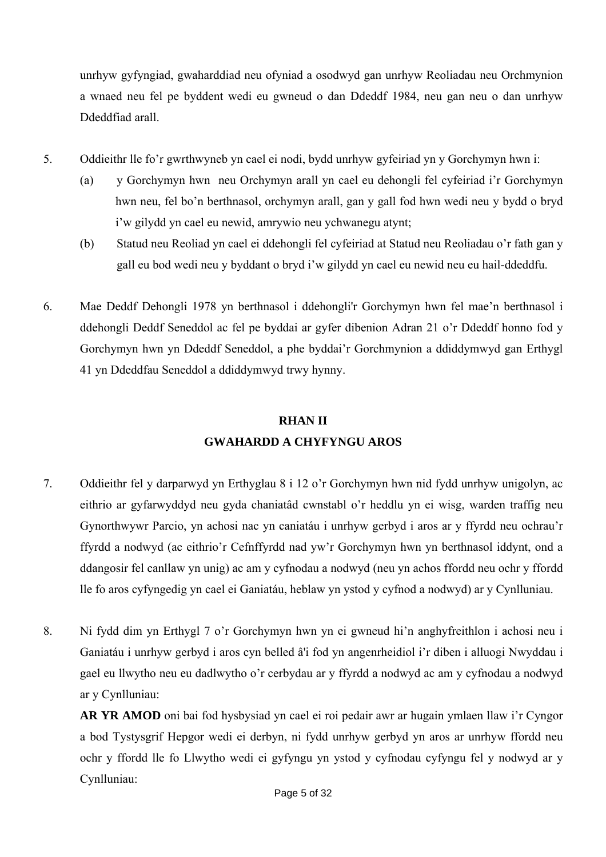unrhyw gyfyngiad, gwaharddiad neu ofyniad a osodwyd gan unrhyw Reoliadau neu Orchmynion a wnaed neu fel pe byddent wedi eu gwneud o dan Ddeddf 1984, neu gan neu o dan unrhyw Ddeddfiad arall.

- 5. Oddieithr lle fo'r gwrthwyneb yn cael ei nodi, bydd unrhyw gyfeiriad yn y Gorchymyn hwn i:
	- (a) y Gorchymyn hwn neu Orchymyn arall yn cael eu dehongli fel cyfeiriad i'r Gorchymyn hwn neu, fel bo'n berthnasol, orchymyn arall, gan y gall fod hwn wedi neu y bydd o bryd i'w gilydd yn cael eu newid, amrywio neu ychwanegu atynt;
	- (b) Statud neu Reoliad yn cael ei ddehongli fel cyfeiriad at Statud neu Reoliadau o'r fath gan y gall eu bod wedi neu y byddant o bryd i'w gilydd yn cael eu newid neu eu hail-ddeddfu.
- 6. Mae Deddf Dehongli 1978 yn berthnasol i ddehongli'r Gorchymyn hwn fel mae'n berthnasol i ddehongli Deddf Seneddol ac fel pe byddai ar gyfer dibenion Adran 21 o'r Ddeddf honno fod y Gorchymyn hwn yn Ddeddf Seneddol, a phe byddai'r Gorchmynion a ddiddymwyd gan Erthygl 41 yn Ddeddfau Seneddol a ddiddymwyd trwy hynny.

# **RHAN II GWAHARDD A CHYFYNGU AROS**

- 7. Oddieithr fel y darparwyd yn Erthyglau 8 i 12 o'r Gorchymyn hwn nid fydd unrhyw unigolyn, ac eithrio ar gyfarwyddyd neu gyda chaniatâd cwnstabl o'r heddlu yn ei wisg, warden traffig neu Gynorthwywr Parcio, yn achosi nac yn caniatáu i unrhyw gerbyd i aros ar y ffyrdd neu ochrau'r ffyrdd a nodwyd (ac eithrio'r Cefnffyrdd nad yw'r Gorchymyn hwn yn berthnasol iddynt, ond a ddangosir fel canllaw yn unig) ac am y cyfnodau a nodwyd (neu yn achos ffordd neu ochr y ffordd lle fo aros cyfyngedig yn cael ei Ganiatáu, heblaw yn ystod y cyfnod a nodwyd) ar y Cynlluniau.
- 8. Ni fydd dim yn Erthygl 7 o'r Gorchymyn hwn yn ei gwneud hi'n anghyfreithlon i achosi neu i Ganiatáu i unrhyw gerbyd i aros cyn belled â'i fod yn angenrheidiol i'r diben i alluogi Nwyddau i gael eu llwytho neu eu dadlwytho o'r cerbydau ar y ffyrdd a nodwyd ac am y cyfnodau a nodwyd ar y Cynlluniau:

**AR YR AMOD** oni bai fod hysbysiad yn cael ei roi pedair awr ar hugain ymlaen llaw i'r Cyngor a bod Tystysgrif Hepgor wedi ei derbyn, ni fydd unrhyw gerbyd yn aros ar unrhyw ffordd neu ochr y ffordd lle fo Llwytho wedi ei gyfyngu yn ystod y cyfnodau cyfyngu fel y nodwyd ar y Cynlluniau: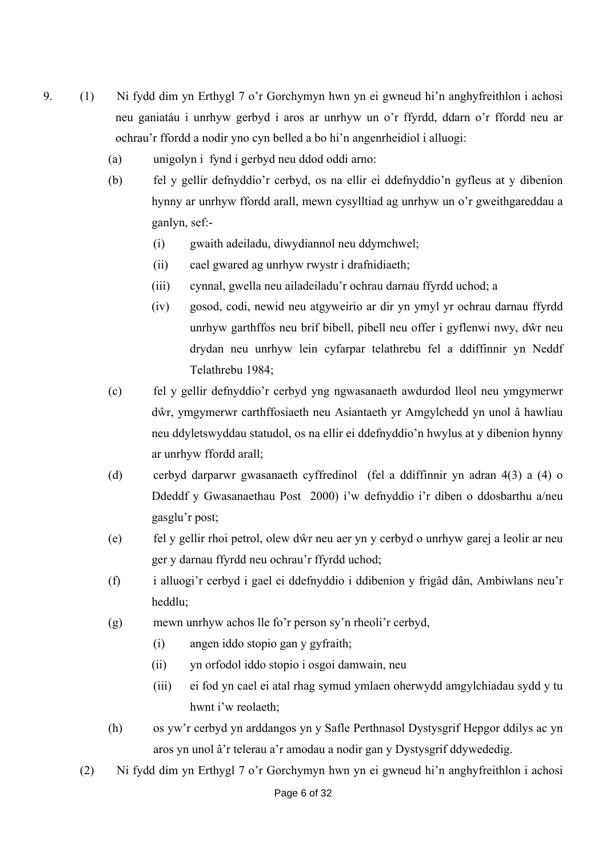- 9. (1) Ni fydd dim yn Erthygl 7 o'r Gorchymyn hwn yn ei gwneud hi'n anghyfreithlon i achosi neu ganiatáu i unrhyw gerbyd i aros ar unrhyw un o'r ffyrdd, ddarn o'r ffordd neu ar ochrau'r ffordd a nodir yno cyn belled a bo hi'n angenrheidiol i alluogi:
	- (a) unigolyn i fynd i gerbyd neu ddod oddi arno:
	- (b) fel y gellir defnyddio'r cerbyd, os na ellir ei ddefnyddio'n gyfleus at y dibenion hynny ar unrhyw ffordd arall, mewn cysylltiad ag unrhyw un o'r gweithgareddau a ganlyn, sef:-
		- (i) gwaith adeiladu, diwydiannol neu ddymchwel;
		- (ii) cael gwared ag unrhyw rwystr i drafnidiaeth;
		- (iii) cynnal, gwella neu ailadeiladu'r ochrau darnau ffyrdd uchod; a
		- (iv) gosod, codi, newid neu atgyweirio ar dir yn ymyl yr ochrau darnau ffyrdd unrhyw garthffos neu brif bibell, pibell neu offer i gyflenwi nwy, dŵr neu drydan neu unrhyw lein cyfarpar telathrebu fel a ddiffinnir yn Neddf Telathrebu 1984;
	- (c) fel y gellir defnyddio'r cerbyd yng ngwasanaeth awdurdod lleol neu ymgymerwr dŵr, ymgymerwr carthffosiaeth neu Asiantaeth yr Amgylchedd yn unol â hawliau neu ddyletswyddau statudol, os na ellir ei ddefnyddio'n hwylus at y dibenion hynny ar unrhyw ffordd arall;
	- (d) cerbyd darparwr gwasanaeth cyffredinol (fel a ddiffinnir yn adran 4(3) a (4) o Ddeddf y Gwasanaethau Post 2000) i'w defnyddio i'r diben o ddosbarthu a/neu gasglu'r post;
	- (e) fel y gellir rhoi petrol, olew dŵr neu aer yn y cerbyd o unrhyw garej a leolir ar neu ger y darnau ffyrdd neu ochrau'r ffyrdd uchod;
	- (f) i alluogi'r cerbyd i gael ei ddefnyddio i ddibenion y frigâd dân, Ambiwlans neu'r heddlu;
	- (g) mewn unrhyw achos lle fo'r person sy'n rheoli'r cerbyd,
		- (i) angen iddo stopio gan y gyfraith;
		- (ii) yn orfodol iddo stopio i osgoi damwain, neu
		- (iii) ei fod yn cael ei atal rhag symud ymlaen oherwydd amgylchiadau sydd y tu hwnt i'w reolaeth;
	- (h) os yw'r cerbyd yn arddangos yn y Safle Perthnasol Dystysgrif Hepgor ddilys ac yn aros yn unol â'r telerau a'r amodau a nodir gan y Dystysgrif ddywededig.
	- (2) Ni fydd dim yn Erthygl 7 o'r Gorchymyn hwn yn ei gwneud hi'n anghyfreithlon i achosi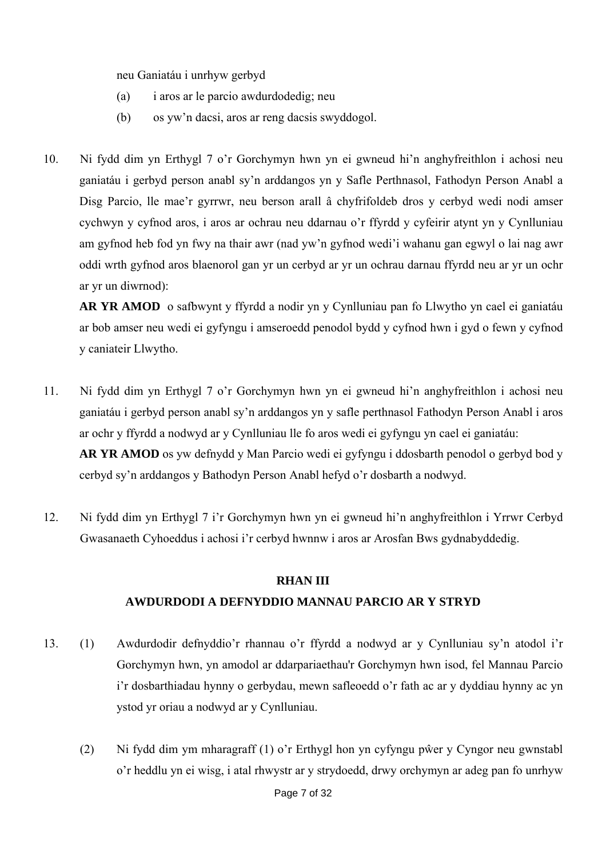neu Ganiatáu i unrhyw gerbyd

- (a) i aros ar le parcio awdurdodedig; neu
- (b) os yw'n dacsi, aros ar reng dacsis swyddogol.
- 10. Ni fydd dim yn Erthygl 7 o'r Gorchymyn hwn yn ei gwneud hi'n anghyfreithlon i achosi neu ganiatáu i gerbyd person anabl sy'n arddangos yn y Safle Perthnasol, Fathodyn Person Anabl a Disg Parcio, lle mae'r gyrrwr, neu berson arall â chyfrifoldeb dros y cerbyd wedi nodi amser cychwyn y cyfnod aros, i aros ar ochrau neu ddarnau o'r ffyrdd y cyfeirir atynt yn y Cynlluniau am gyfnod heb fod yn fwy na thair awr (nad yw'n gyfnod wedi'i wahanu gan egwyl o lai nag awr oddi wrth gyfnod aros blaenorol gan yr un cerbyd ar yr un ochrau darnau ffyrdd neu ar yr un ochr ar yr un diwrnod):

**AR YR AMOD** o safbwynt y ffyrdd a nodir yn y Cynlluniau pan fo Llwytho yn cael ei ganiatáu ar bob amser neu wedi ei gyfyngu i amseroedd penodol bydd y cyfnod hwn i gyd o fewn y cyfnod y caniateir Llwytho.

- 11. Ni fydd dim yn Erthygl 7 o'r Gorchymyn hwn yn ei gwneud hi'n anghyfreithlon i achosi neu ganiatáu i gerbyd person anabl sy'n arddangos yn y safle perthnasol Fathodyn Person Anabl i aros ar ochr y ffyrdd a nodwyd ar y Cynlluniau lle fo aros wedi ei gyfyngu yn cael ei ganiatáu: **AR YR AMOD** os yw defnydd y Man Parcio wedi ei gyfyngu i ddosbarth penodol o gerbyd bod y cerbyd sy'n arddangos y Bathodyn Person Anabl hefyd o'r dosbarth a nodwyd.
- 12. Ni fydd dim yn Erthygl 7 i'r Gorchymyn hwn yn ei gwneud hi'n anghyfreithlon i Yrrwr Cerbyd Gwasanaeth Cyhoeddus i achosi i'r cerbyd hwnnw i aros ar Arosfan Bws gydnabyddedig.

### **RHAN III**

### **AWDURDODI A DEFNYDDIO MANNAU PARCIO AR Y STRYD**

- 13. (1) Awdurdodir defnyddio'r rhannau o'r ffyrdd a nodwyd ar y Cynlluniau sy'n atodol i'r Gorchymyn hwn, yn amodol ar ddarpariaethau'r Gorchymyn hwn isod, fel Mannau Parcio i'r dosbarthiadau hynny o gerbydau, mewn safleoedd o'r fath ac ar y dyddiau hynny ac yn ystod yr oriau a nodwyd ar y Cynlluniau.
	- (2) Ni fydd dim ym mharagraff (1) o'r Erthygl hon yn cyfyngu pŵer y Cyngor neu gwnstabl o'r heddlu yn ei wisg, i atal rhwystr ar y strydoedd, drwy orchymyn ar adeg pan fo unrhyw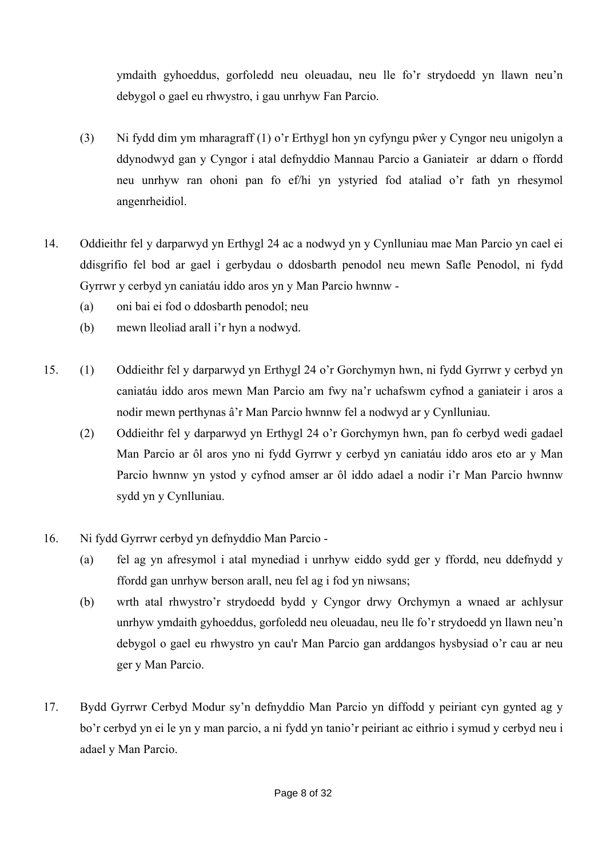ymdaith gyhoeddus, gorfoledd neu oleuadau, neu lle fo'r strydoedd yn llawn neu'n debygol o gael eu rhwystro, i gau unrhyw Fan Parcio.

- (3) Ni fydd dim ym mharagraff (1) o'r Erthygl hon yn cyfyngu pŵer y Cyngor neu unigolyn a ddynodwyd gan y Cyngor i atal defnyddio Mannau Parcio a Ganiateir ar ddarn o ffordd neu unrhyw ran ohoni pan fo ef/hi yn ystyried fod ataliad o'r fath yn rhesymol angenrheidiol.
- 14. Oddieithr fel y darparwyd yn Erthygl 24 ac a nodwyd yn y Cynlluniau mae Man Parcio yn cael ei ddisgrifio fel bod ar gael i gerbydau o ddosbarth penodol neu mewn Safle Penodol, ni fydd Gyrrwr y cerbyd yn caniatáu iddo aros yn y Man Parcio hwnnw -
	- (a) oni bai ei fod o ddosbarth penodol; neu
	- (b) mewn lleoliad arall i'r hyn a nodwyd.
- 15. (1) Oddieithr fel y darparwyd yn Erthygl 24 o'r Gorchymyn hwn, ni fydd Gyrrwr y cerbyd yn caniatáu iddo aros mewn Man Parcio am fwy na'r uchafswm cyfnod a ganiateir i aros a nodir mewn perthynas â'r Man Parcio hwnnw fel a nodwyd ar y Cynlluniau.
	- (2) Oddieithr fel y darparwyd yn Erthygl 24 o'r Gorchymyn hwn, pan fo cerbyd wedi gadael Man Parcio ar ôl aros yno ni fydd Gyrrwr y cerbyd yn caniatáu iddo aros eto ar y Man Parcio hwnnw yn ystod y cyfnod amser ar ôl iddo adael a nodir i'r Man Parcio hwnnw sydd yn y Cynlluniau.
- 16. Ni fydd Gyrrwr cerbyd yn defnyddio Man Parcio
	- (a) fel ag yn afresymol i atal mynediad i unrhyw eiddo sydd ger y ffordd, neu ddefnydd y ffordd gan unrhyw berson arall, neu fel ag i fod yn niwsans;
	- (b) wrth atal rhwystro'r strydoedd bydd y Cyngor drwy Orchymyn a wnaed ar achlysur unrhyw ymdaith gyhoeddus, gorfoledd neu oleuadau, neu lle fo'r strydoedd yn llawn neu'n debygol o gael eu rhwystro yn cau'r Man Parcio gan arddangos hysbysiad o'r cau ar neu ger y Man Parcio.
- 17. Bydd Gyrrwr Cerbyd Modur sy'n defnyddio Man Parcio yn diffodd y peiriant cyn gynted ag y bo'r cerbyd yn ei le yn y man parcio, a ni fydd yn tanio'r peiriant ac eithrio i symud y cerbyd neu i adael y Man Parcio.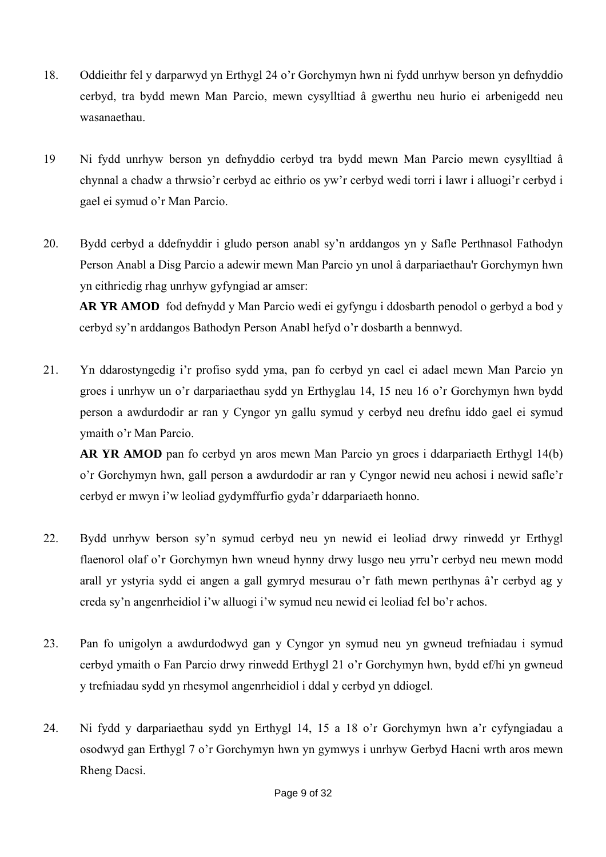- 18. Oddieithr fel y darparwyd yn Erthygl 24 o'r Gorchymyn hwn ni fydd unrhyw berson yn defnyddio cerbyd, tra bydd mewn Man Parcio, mewn cysylltiad â gwerthu neu hurio ei arbenigedd neu wasanaethau.
- 19 Ni fydd unrhyw berson yn defnyddio cerbyd tra bydd mewn Man Parcio mewn cysylltiad â chynnal a chadw a thrwsio'r cerbyd ac eithrio os yw'r cerbyd wedi torri i lawr i alluogi'r cerbyd i gael ei symud o'r Man Parcio.
- 20. Bydd cerbyd a ddefnyddir i gludo person anabl sy'n arddangos yn y Safle Perthnasol Fathodyn Person Anabl a Disg Parcio a adewir mewn Man Parcio yn unol â darpariaethau'r Gorchymyn hwn yn eithriedig rhag unrhyw gyfyngiad ar amser:

**AR YR AMOD** fod defnydd y Man Parcio wedi ei gyfyngu i ddosbarth penodol o gerbyd a bod y cerbyd sy'n arddangos Bathodyn Person Anabl hefyd o'r dosbarth a bennwyd.

21. Yn ddarostyngedig i'r profiso sydd yma, pan fo cerbyd yn cael ei adael mewn Man Parcio yn groes i unrhyw un o'r darpariaethau sydd yn Erthyglau 14, 15 neu 16 o'r Gorchymyn hwn bydd person a awdurdodir ar ran y Cyngor yn gallu symud y cerbyd neu drefnu iddo gael ei symud ymaith o'r Man Parcio.

**AR YR AMOD** pan fo cerbyd yn aros mewn Man Parcio yn groes i ddarpariaeth Erthygl 14(b) o'r Gorchymyn hwn, gall person a awdurdodir ar ran y Cyngor newid neu achosi i newid safle'r cerbyd er mwyn i'w leoliad gydymffurfio gyda'r ddarpariaeth honno.

- 22. Bydd unrhyw berson sy'n symud cerbyd neu yn newid ei leoliad drwy rinwedd yr Erthygl flaenorol olaf o'r Gorchymyn hwn wneud hynny drwy lusgo neu yrru'r cerbyd neu mewn modd arall yr ystyria sydd ei angen a gall gymryd mesurau o'r fath mewn perthynas â'r cerbyd ag y creda sy'n angenrheidiol i'w alluogi i'w symud neu newid ei leoliad fel bo'r achos.
- 23. Pan fo unigolyn a awdurdodwyd gan y Cyngor yn symud neu yn gwneud trefniadau i symud cerbyd ymaith o Fan Parcio drwy rinwedd Erthygl 21 o'r Gorchymyn hwn, bydd ef/hi yn gwneud y trefniadau sydd yn rhesymol angenrheidiol i ddal y cerbyd yn ddiogel.
- 24. Ni fydd y darpariaethau sydd yn Erthygl 14, 15 a 18 o'r Gorchymyn hwn a'r cyfyngiadau a osodwyd gan Erthygl 7 o'r Gorchymyn hwn yn gymwys i unrhyw Gerbyd Hacni wrth aros mewn Rheng Dacsi.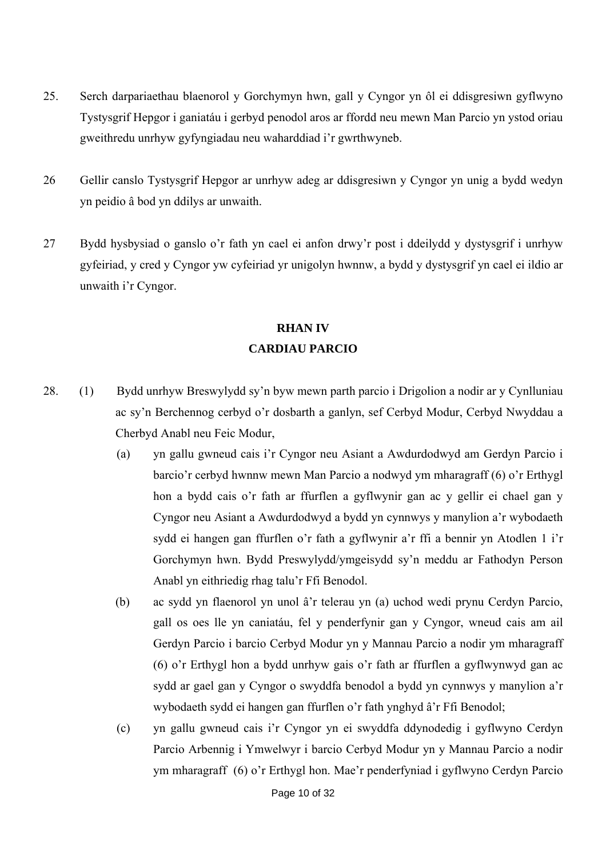- 25. Serch darpariaethau blaenorol y Gorchymyn hwn, gall y Cyngor yn ôl ei ddisgresiwn gyflwyno Tystysgrif Hepgor i ganiatáu i gerbyd penodol aros ar ffordd neu mewn Man Parcio yn ystod oriau gweithredu unrhyw gyfyngiadau neu waharddiad i'r gwrthwyneb.
- 26 Gellir canslo Tystysgrif Hepgor ar unrhyw adeg ar ddisgresiwn y Cyngor yn unig a bydd wedyn yn peidio â bod yn ddilys ar unwaith.
- 27 Bydd hysbysiad o ganslo o'r fath yn cael ei anfon drwy'r post i ddeilydd y dystysgrif i unrhyw gyfeiriad, y cred y Cyngor yw cyfeiriad yr unigolyn hwnnw, a bydd y dystysgrif yn cael ei ildio ar unwaith i'r Cyngor.

# **RHAN IV CARDIAU PARCIO**

- 28. (1) Bydd unrhyw Breswylydd sy'n byw mewn parth parcio i Drigolion a nodir ar y Cynlluniau ac sy'n Berchennog cerbyd o'r dosbarth a ganlyn, sef Cerbyd Modur, Cerbyd Nwyddau a Cherbyd Anabl neu Feic Modur,
	- (a) yn gallu gwneud cais i'r Cyngor neu Asiant a Awdurdodwyd am Gerdyn Parcio i barcio'r cerbyd hwnnw mewn Man Parcio a nodwyd ym mharagraff (6) o'r Erthygl hon a bydd cais o'r fath ar ffurflen a gyflwynir gan ac y gellir ei chael gan y Cyngor neu Asiant a Awdurdodwyd a bydd yn cynnwys y manylion a'r wybodaeth sydd ei hangen gan ffurflen o'r fath a gyflwynir a'r ffi a bennir yn Atodlen 1 i'r Gorchymyn hwn. Bydd Preswylydd/ymgeisydd sy'n meddu ar Fathodyn Person Anabl yn eithriedig rhag talu'r Ffi Benodol.
	- (b) ac sydd yn flaenorol yn unol â'r telerau yn (a) uchod wedi prynu Cerdyn Parcio, gall os oes lle yn caniatáu, fel y penderfynir gan y Cyngor, wneud cais am ail Gerdyn Parcio i barcio Cerbyd Modur yn y Mannau Parcio a nodir ym mharagraff (6) o'r Erthygl hon a bydd unrhyw gais o'r fath ar ffurflen a gyflwynwyd gan ac sydd ar gael gan y Cyngor o swyddfa benodol a bydd yn cynnwys y manylion a'r wybodaeth sydd ei hangen gan ffurflen o'r fath ynghyd â'r Ffi Benodol;
	- (c) yn gallu gwneud cais i'r Cyngor yn ei swyddfa ddynodedig i gyflwyno Cerdyn Parcio Arbennig i Ymwelwyr i barcio Cerbyd Modur yn y Mannau Parcio a nodir ym mharagraff (6) o'r Erthygl hon. Mae'r penderfyniad i gyflwyno Cerdyn Parcio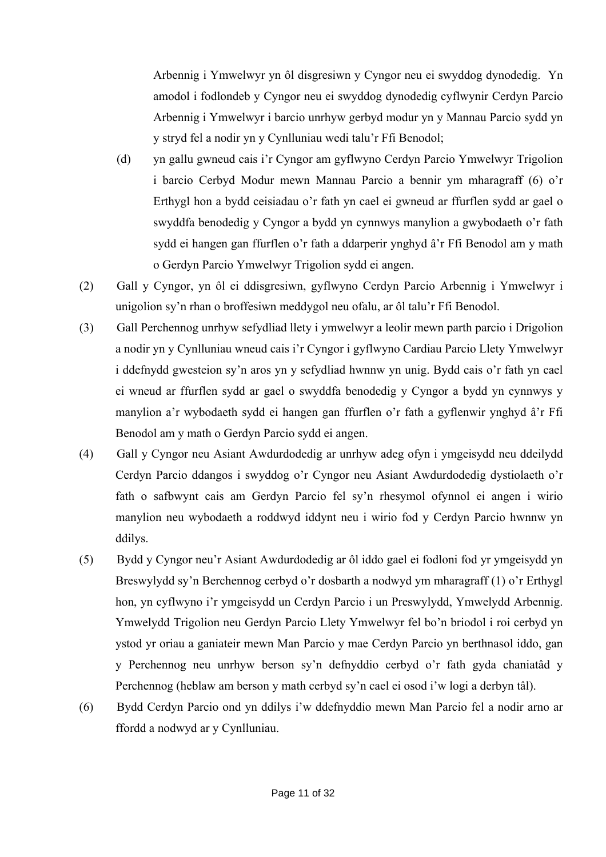Arbennig i Ymwelwyr yn ôl disgresiwn y Cyngor neu ei swyddog dynodedig. Yn amodol i fodlondeb y Cyngor neu ei swyddog dynodedig cyflwynir Cerdyn Parcio Arbennig i Ymwelwyr i barcio unrhyw gerbyd modur yn y Mannau Parcio sydd yn y stryd fel a nodir yn y Cynlluniau wedi talu'r Ffi Benodol;

- (d) yn gallu gwneud cais i'r Cyngor am gyflwyno Cerdyn Parcio Ymwelwyr Trigolion i barcio Cerbyd Modur mewn Mannau Parcio a bennir ym mharagraff (6) o'r Erthygl hon a bydd ceisiadau o'r fath yn cael ei gwneud ar ffurflen sydd ar gael o swyddfa benodedig y Cyngor a bydd yn cynnwys manylion a gwybodaeth o'r fath sydd ei hangen gan ffurflen o'r fath a ddarperir ynghyd â'r Ffi Benodol am y math o Gerdyn Parcio Ymwelwyr Trigolion sydd ei angen.
- (2) Gall y Cyngor, yn ôl ei ddisgresiwn, gyflwyno Cerdyn Parcio Arbennig i Ymwelwyr i unigolion sy'n rhan o broffesiwn meddygol neu ofalu, ar ôl talu'r Ffi Benodol.
- (3) Gall Perchennog unrhyw sefydliad llety i ymwelwyr a leolir mewn parth parcio i Drigolion a nodir yn y Cynlluniau wneud cais i'r Cyngor i gyflwyno Cardiau Parcio Llety Ymwelwyr i ddefnydd gwesteion sy'n aros yn y sefydliad hwnnw yn unig. Bydd cais o'r fath yn cael ei wneud ar ffurflen sydd ar gael o swyddfa benodedig y Cyngor a bydd yn cynnwys y manylion a'r wybodaeth sydd ei hangen gan ffurflen o'r fath a gyflenwir ynghyd â'r Ffi Benodol am y math o Gerdyn Parcio sydd ei angen.
- (4) Gall y Cyngor neu Asiant Awdurdodedig ar unrhyw adeg ofyn i ymgeisydd neu ddeilydd Cerdyn Parcio ddangos i swyddog o'r Cyngor neu Asiant Awdurdodedig dystiolaeth o'r fath o safbwynt cais am Gerdyn Parcio fel sy'n rhesymol ofynnol ei angen i wirio manylion neu wybodaeth a roddwyd iddynt neu i wirio fod y Cerdyn Parcio hwnnw yn ddilys.
- (5) Bydd y Cyngor neu'r Asiant Awdurdodedig ar ôl iddo gael ei fodloni fod yr ymgeisydd yn Breswylydd sy'n Berchennog cerbyd o'r dosbarth a nodwyd ym mharagraff (1) o'r Erthygl hon, yn cyflwyno i'r ymgeisydd un Cerdyn Parcio i un Preswylydd, Ymwelydd Arbennig. Ymwelydd Trigolion neu Gerdyn Parcio Llety Ymwelwyr fel bo'n briodol i roi cerbyd yn ystod yr oriau a ganiateir mewn Man Parcio y mae Cerdyn Parcio yn berthnasol iddo, gan y Perchennog neu unrhyw berson sy'n defnyddio cerbyd o'r fath gyda chaniatâd y Perchennog (heblaw am berson y math cerbyd sy'n cael ei osod i'w logi a derbyn tâl).
- (6) Bydd Cerdyn Parcio ond yn ddilys i'w ddefnyddio mewn Man Parcio fel a nodir arno ar ffordd a nodwyd ar y Cynlluniau.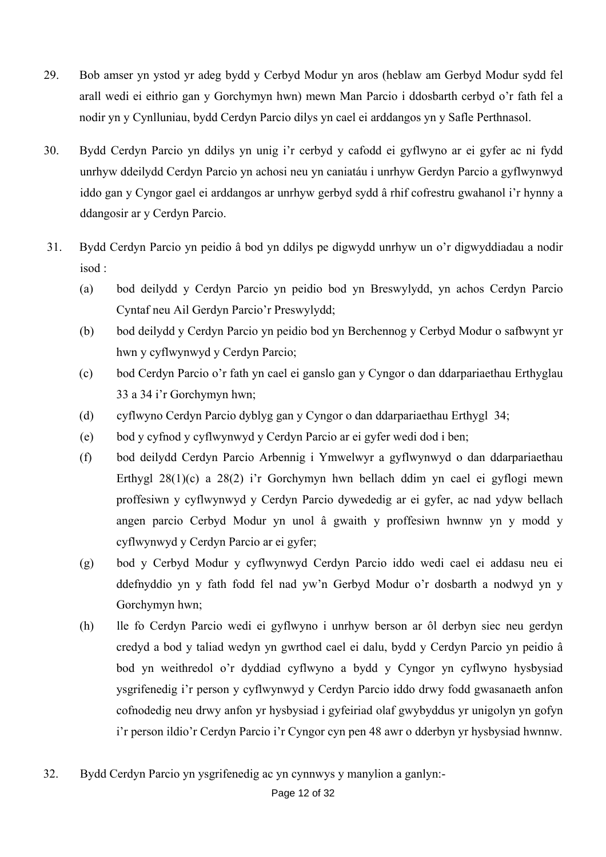- 29. Bob amser yn ystod yr adeg bydd y Cerbyd Modur yn aros (heblaw am Gerbyd Modur sydd fel arall wedi ei eithrio gan y Gorchymyn hwn) mewn Man Parcio i ddosbarth cerbyd o'r fath fel a nodir yn y Cynlluniau, bydd Cerdyn Parcio dilys yn cael ei arddangos yn y Safle Perthnasol.
- 30. Bydd Cerdyn Parcio yn ddilys yn unig i'r cerbyd y cafodd ei gyflwyno ar ei gyfer ac ni fydd unrhyw ddeilydd Cerdyn Parcio yn achosi neu yn caniatáu i unrhyw Gerdyn Parcio a gyflwynwyd iddo gan y Cyngor gael ei arddangos ar unrhyw gerbyd sydd â rhif cofrestru gwahanol i'r hynny a ddangosir ar y Cerdyn Parcio.
- 31. Bydd Cerdyn Parcio yn peidio â bod yn ddilys pe digwydd unrhyw un o'r digwyddiadau a nodir isod :
	- (a) bod deilydd y Cerdyn Parcio yn peidio bod yn Breswylydd, yn achos Cerdyn Parcio Cyntaf neu Ail Gerdyn Parcio'r Preswylydd;
	- (b) bod deilydd y Cerdyn Parcio yn peidio bod yn Berchennog y Cerbyd Modur o safbwynt yr hwn y cyflwynwyd y Cerdyn Parcio;
	- (c) bod Cerdyn Parcio o'r fath yn cael ei ganslo gan y Cyngor o dan ddarpariaethau Erthyglau 33 a 34 i'r Gorchymyn hwn;
	- (d) cyflwyno Cerdyn Parcio dyblyg gan y Cyngor o dan ddarpariaethau Erthygl 34;
	- (e) bod y cyfnod y cyflwynwyd y Cerdyn Parcio ar ei gyfer wedi dod i ben;
	- (f) bod deilydd Cerdyn Parcio Arbennig i Ymwelwyr a gyflwynwyd o dan ddarpariaethau Erthygl 28(1)(c) a 28(2) i'r Gorchymyn hwn bellach ddim yn cael ei gyflogi mewn proffesiwn y cyflwynwyd y Cerdyn Parcio dywededig ar ei gyfer, ac nad ydyw bellach angen parcio Cerbyd Modur yn unol â gwaith y proffesiwn hwnnw yn y modd y cyflwynwyd y Cerdyn Parcio ar ei gyfer;
	- (g) bod y Cerbyd Modur y cyflwynwyd Cerdyn Parcio iddo wedi cael ei addasu neu ei ddefnyddio yn y fath fodd fel nad yw'n Gerbyd Modur o'r dosbarth a nodwyd yn y Gorchymyn hwn;
	- (h) lle fo Cerdyn Parcio wedi ei gyflwyno i unrhyw berson ar ôl derbyn siec neu gerdyn credyd a bod y taliad wedyn yn gwrthod cael ei dalu, bydd y Cerdyn Parcio yn peidio â bod yn weithredol o'r dyddiad cyflwyno a bydd y Cyngor yn cyflwyno hysbysiad ysgrifenedig i'r person y cyflwynwyd y Cerdyn Parcio iddo drwy fodd gwasanaeth anfon cofnodedig neu drwy anfon yr hysbysiad i gyfeiriad olaf gwybyddus yr unigolyn yn gofyn i'r person ildio'r Cerdyn Parcio i'r Cyngor cyn pen 48 awr o dderbyn yr hysbysiad hwnnw.
- 32. Bydd Cerdyn Parcio yn ysgrifenedig ac yn cynnwys y manylion a ganlyn:-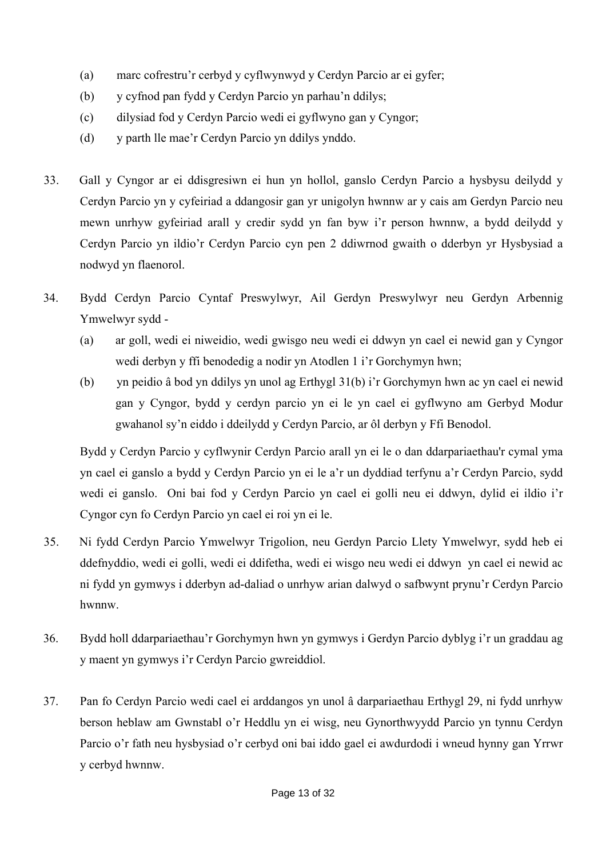- (a) marc cofrestru'r cerbyd y cyflwynwyd y Cerdyn Parcio ar ei gyfer;
- (b) y cyfnod pan fydd y Cerdyn Parcio yn parhau'n ddilys;
- (c) dilysiad fod y Cerdyn Parcio wedi ei gyflwyno gan y Cyngor;
- (d) y parth lle mae'r Cerdyn Parcio yn ddilys ynddo.
- 33. Gall y Cyngor ar ei ddisgresiwn ei hun yn hollol, ganslo Cerdyn Parcio a hysbysu deilydd y Cerdyn Parcio yn y cyfeiriad a ddangosir gan yr unigolyn hwnnw ar y cais am Gerdyn Parcio neu mewn unrhyw gyfeiriad arall y credir sydd yn fan byw i'r person hwnnw, a bydd deilydd y Cerdyn Parcio yn ildio'r Cerdyn Parcio cyn pen 2 ddiwrnod gwaith o dderbyn yr Hysbysiad a nodwyd yn flaenorol.
- 34. Bydd Cerdyn Parcio Cyntaf Preswylwyr, Ail Gerdyn Preswylwyr neu Gerdyn Arbennig Ymwelwyr sydd -
	- (a) ar goll, wedi ei niweidio, wedi gwisgo neu wedi ei ddwyn yn cael ei newid gan y Cyngor wedi derbyn y ffi benodedig a nodir yn Atodlen 1 i'r Gorchymyn hwn;
	- (b) yn peidio â bod yn ddilys yn unol ag Erthygl 31(b) i'r Gorchymyn hwn ac yn cael ei newid gan y Cyngor, bydd y cerdyn parcio yn ei le yn cael ei gyflwyno am Gerbyd Modur gwahanol sy'n eiddo i ddeilydd y Cerdyn Parcio, ar ôl derbyn y Ffi Benodol.

Bydd y Cerdyn Parcio y cyflwynir Cerdyn Parcio arall yn ei le o dan ddarpariaethau'r cymal yma yn cael ei ganslo a bydd y Cerdyn Parcio yn ei le a'r un dyddiad terfynu a'r Cerdyn Parcio, sydd wedi ei ganslo. Oni bai fod y Cerdyn Parcio yn cael ei golli neu ei ddwyn, dylid ei ildio i'r Cyngor cyn fo Cerdyn Parcio yn cael ei roi yn ei le.

- 35. Ni fydd Cerdyn Parcio Ymwelwyr Trigolion, neu Gerdyn Parcio Llety Ymwelwyr, sydd heb ei ddefnyddio, wedi ei golli, wedi ei ddifetha, wedi ei wisgo neu wedi ei ddwyn yn cael ei newid ac ni fydd yn gymwys i dderbyn ad-daliad o unrhyw arian dalwyd o safbwynt prynu'r Cerdyn Parcio hwnnw.
- 36. Bydd holl ddarpariaethau'r Gorchymyn hwn yn gymwys i Gerdyn Parcio dyblyg i'r un graddau ag y maent yn gymwys i'r Cerdyn Parcio gwreiddiol.
- 37. Pan fo Cerdyn Parcio wedi cael ei arddangos yn unol â darpariaethau Erthygl 29, ni fydd unrhyw berson heblaw am Gwnstabl o'r Heddlu yn ei wisg, neu Gynorthwyydd Parcio yn tynnu Cerdyn Parcio o'r fath neu hysbysiad o'r cerbyd oni bai iddo gael ei awdurdodi i wneud hynny gan Yrrwr y cerbyd hwnnw.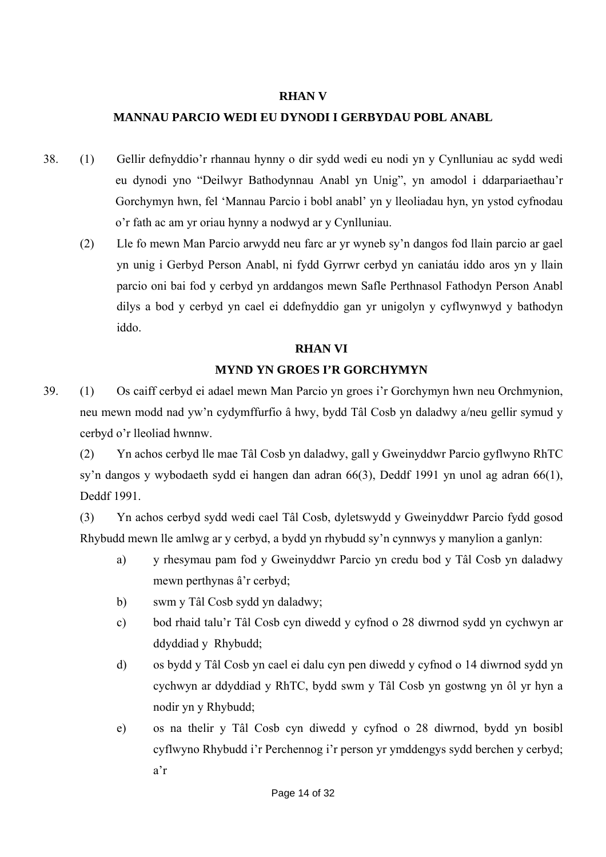#### **RHAN V**

### **MANNAU PARCIO WEDI EU DYNODI I GERBYDAU POBL ANABL**

- 38. (1) Gellir defnyddio'r rhannau hynny o dir sydd wedi eu nodi yn y Cynlluniau ac sydd wedi eu dynodi yno "Deilwyr Bathodynnau Anabl yn Unig", yn amodol i ddarpariaethau'r Gorchymyn hwn, fel 'Mannau Parcio i bobl anabl' yn y lleoliadau hyn, yn ystod cyfnodau o'r fath ac am yr oriau hynny a nodwyd ar y Cynlluniau.
	- (2) Lle fo mewn Man Parcio arwydd neu farc ar yr wyneb sy'n dangos fod llain parcio ar gael yn unig i Gerbyd Person Anabl, ni fydd Gyrrwr cerbyd yn caniatáu iddo aros yn y llain parcio oni bai fod y cerbyd yn arddangos mewn Safle Perthnasol Fathodyn Person Anabl dilys a bod y cerbyd yn cael ei ddefnyddio gan yr unigolyn y cyflwynwyd y bathodyn iddo.

### **RHAN VI**

#### **MYND YN GROES I'R GORCHYMYN**

39. (1) Os caiff cerbyd ei adael mewn Man Parcio yn groes i'r Gorchymyn hwn neu Orchmynion, neu mewn modd nad yw'n cydymffurfio â hwy, bydd Tâl Cosb yn daladwy a/neu gellir symud y cerbyd o'r lleoliad hwnnw.

 (2) Yn achos cerbyd lle mae Tâl Cosb yn daladwy, gall y Gweinyddwr Parcio gyflwyno RhTC sy'n dangos y wybodaeth sydd ei hangen dan adran 66(3), Deddf 1991 yn unol ag adran 66(1), Deddf 1991.

 (3) Yn achos cerbyd sydd wedi cael Tâl Cosb, dyletswydd y Gweinyddwr Parcio fydd gosod Rhybudd mewn lle amlwg ar y cerbyd, a bydd yn rhybudd sy'n cynnwys y manylion a ganlyn:

- a) y rhesymau pam fod y Gweinyddwr Parcio yn credu bod y Tâl Cosb yn daladwy mewn perthynas â'r cerbyd;
- b) swm y Tâl Cosb sydd yn daladwy;
- c) bod rhaid talu'r Tâl Cosb cyn diwedd y cyfnod o 28 diwrnod sydd yn cychwyn ar ddyddiad y Rhybudd;
- d) os bydd y Tâl Cosb yn cael ei dalu cyn pen diwedd y cyfnod o 14 diwrnod sydd yn cychwyn ar ddyddiad y RhTC, bydd swm y Tâl Cosb yn gostwng yn ôl yr hyn a nodir yn y Rhybudd;
- e) os na thelir y Tâl Cosb cyn diwedd y cyfnod o 28 diwrnod, bydd yn bosibl cyflwyno Rhybudd i'r Perchennog i'r person yr ymddengys sydd berchen y cerbyd; a'r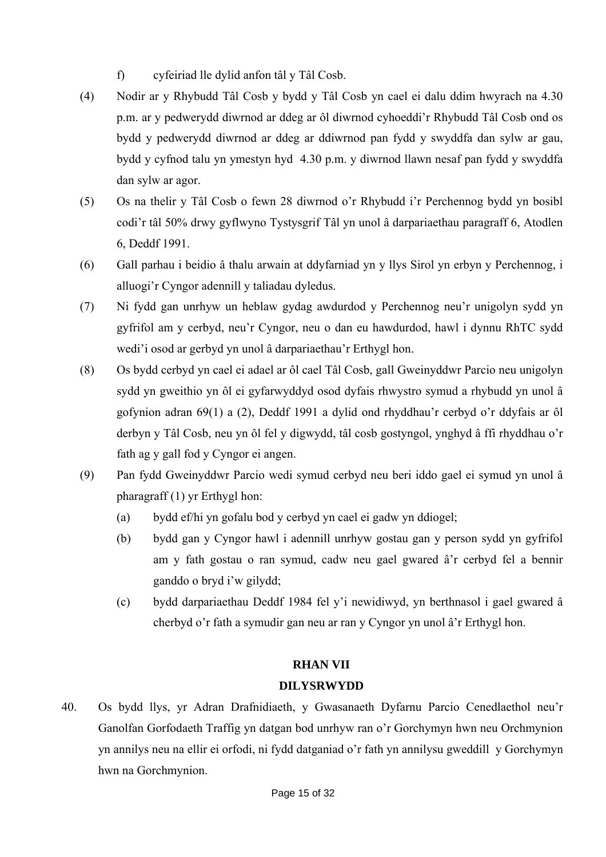- f) cyfeiriad lle dylid anfon tâl y Tâl Cosb.
- (4) Nodir ar y Rhybudd Tâl Cosb y bydd y Tâl Cosb yn cael ei dalu ddim hwyrach na 4.30 p.m. ar y pedwerydd diwrnod ar ddeg ar ôl diwrnod cyhoeddi'r Rhybudd Tâl Cosb ond os bydd y pedwerydd diwrnod ar ddeg ar ddiwrnod pan fydd y swyddfa dan sylw ar gau, bydd y cyfnod talu yn ymestyn hyd 4.30 p.m. y diwrnod llawn nesaf pan fydd y swyddfa dan sylw ar agor.
- (5) Os na thelir y Tâl Cosb o fewn 28 diwrnod o'r Rhybudd i'r Perchennog bydd yn bosibl codi'r tâl 50% drwy gyflwyno Tystysgrif Tâl yn unol â darpariaethau paragraff 6, Atodlen 6, Deddf 1991.
- (6) Gall parhau i beidio â thalu arwain at ddyfarniad yn y llys Sirol yn erbyn y Perchennog, i alluogi'r Cyngor adennill y taliadau dyledus.
- (7) Ni fydd gan unrhyw un heblaw gydag awdurdod y Perchennog neu'r unigolyn sydd yn gyfrifol am y cerbyd, neu'r Cyngor, neu o dan eu hawdurdod, hawl i dynnu RhTC sydd wedi'i osod ar gerbyd yn unol â darpariaethau'r Erthygl hon.
- (8) Os bydd cerbyd yn cael ei adael ar ôl cael Tâl Cosb, gall Gweinyddwr Parcio neu unigolyn sydd yn gweithio yn ôl ei gyfarwyddyd osod dyfais rhwystro symud a rhybudd yn unol â gofynion adran 69(1) a (2), Deddf 1991 a dylid ond rhyddhau'r cerbyd o'r ddyfais ar ôl derbyn y Tâl Cosb, neu yn ôl fel y digwydd, tâl cosb gostyngol, ynghyd â ffi rhyddhau o'r fath ag y gall fod y Cyngor ei angen.
- (9) Pan fydd Gweinyddwr Parcio wedi symud cerbyd neu beri iddo gael ei symud yn unol â pharagraff (1) yr Erthygl hon:
	- (a) bydd ef/hi yn gofalu bod y cerbyd yn cael ei gadw yn ddiogel;
	- (b) bydd gan y Cyngor hawl i adennill unrhyw gostau gan y person sydd yn gyfrifol am y fath gostau o ran symud, cadw neu gael gwared â'r cerbyd fel a bennir ganddo o bryd i'w gilydd;
	- (c) bydd darpariaethau Deddf 1984 fel y'i newidiwyd, yn berthnasol i gael gwared â cherbyd o'r fath a symudir gan neu ar ran y Cyngor yn unol â'r Erthygl hon.

### **RHAN VII**

### **DILYSRWYDD**

40. Os bydd llys, yr Adran Drafnidiaeth, y Gwasanaeth Dyfarnu Parcio Cenedlaethol neu'r Ganolfan Gorfodaeth Traffig yn datgan bod unrhyw ran o'r Gorchymyn hwn neu Orchmynion yn annilys neu na ellir ei orfodi, ni fydd datganiad o'r fath yn annilysu gweddill y Gorchymyn hwn na Gorchmynion.